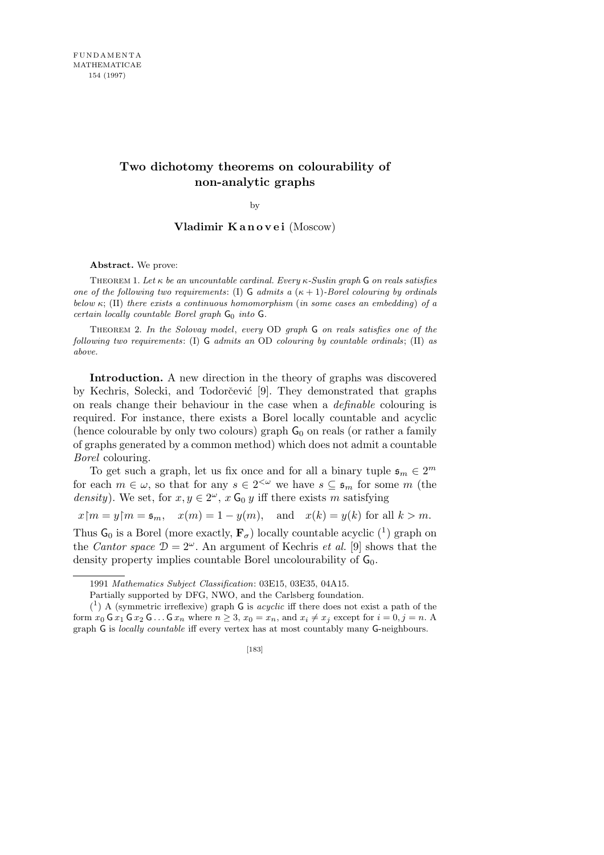## **Two dichotomy theorems on colourability of non-analytic graphs**

by

**Vladimir K a n o v e i** (Moscow)

**Abstract.** We prove:

Theorem 1. *Let κ be an uncountable cardinal. Every κ-Suslin graph* G *on reals satisfies one of the following two requirements*: (I) G *admits a* (*κ* + 1)*-Borel colouring by ordinals below κ*; (II) *there exists a continuous homomorphism* (*in some cases an embedding*) *of a certain locally countable Borel graph*  $G_0$  *into*  $G$ *.* 

Theorem 2. *In the Solovay model*, *every* OD *graph* G *on reals satisfies one of the following two requirements*: (I) G *admits an* OD *colouring by countable ordinals*; (II) *as above.*

**Introduction.** A new direction in the theory of graphs was discovered by Kechris, Solecki, and Todorčević [9]. They demonstrated that graphs on reals change their behaviour in the case when a *definable* colouring is required. For instance, there exists a Borel locally countable and acyclic (hence colourable by only two colours) graph  $G_0$  on reals (or rather a family of graphs generated by a common method) which does not admit a countable *Borel* colouring.

To get such a graph, let us fix once and for all a binary tuple  $\mathfrak{s}_m \in 2^m$ for each  $m \in \omega$ , so that for any  $s \in 2^{<\omega}$  we have  $s \subseteq \mathfrak{s}_m$  for some  $m$  (the *density*). We set, for  $x, y \in 2^\omega$ ,  $x \mathsf{G}_0 y$  iff there exists *m* satisfying

 $x \upharpoonright m = y \upharpoonright m = \mathfrak{s}_m$ ,  $x(m) = 1 - y(m)$ , and  $x(k) = y(k)$  for all  $k > m$ .

Thus  $\mathsf{G}_0$  is a Borel (more exactly,  $\mathbf{F}_{\sigma}$ ) locally countable acyclic (<sup>1</sup>) graph on the *Cantor space*  $\mathcal{D} = 2^{\omega}$ . An argument of Kechris *et al.* [9] shows that the density property implies countable Borel uncolourability of  $G_0$ .

<sup>1991</sup> *Mathematics Subject Classification*: 03E15, 03E35, 04A15.

Partially supported by DFG, NWO, and the Carlsberg foundation.

 $(1)$  A (symmetric irreflexive) graph G is *acyclic* iff there does not exist a path of the form  $x_0 \mathsf{G} x_1 \mathsf{G} x_2 \mathsf{G} \dots \mathsf{G} x_n$  where  $n > 3$ ,  $x_0 = x_n$ , and  $x_i \neq x_j$  except for  $i = 0, j = n$ . graph G is *locally countable* iff every vertex has at most countably many G-neighbours.

<sup>[183]</sup>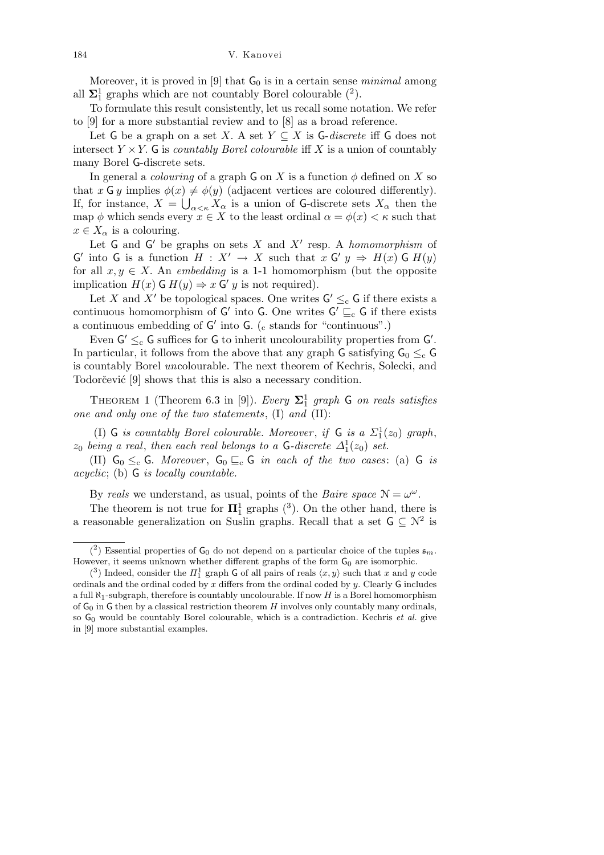Moreover, it is proved in [9] that  $G_0$  is in a certain sense *minimal* among all  $\Sigma_1^1$  graphs which are not countably Borel colourable  $(2)$ .

To formulate this result consistently, let us recall some notation. We refer to [9] for a more substantial review and to [8] as a broad reference.

Let G be a graph on a set *X*. A set  $Y \subseteq X$  is G-*discrete* iff G does not intersect  $Y \times Y$ . G is *countably Borel colourable* iff X is a union of countably many Borel G-discrete sets.

In general a *colouring* of a graph G on *X* is a function  $\phi$  defined on *X* so that  $x \in y$  implies  $\phi(x) \neq \phi(y)$  (adjacent vertices are coloured differently). If, for instance,  $X = \bigcup_{\alpha < \kappa} X_{\alpha}$  is a union of G-discrete sets  $X_{\alpha}$  then the map  $\phi$  which sends every  $x \in X$  to the least ordinal  $\alpha = \phi(x) < \kappa$  such that  $x \in X_\alpha$  is a colouring.

Let  $G$  and  $G'$  be graphs on sets  $X$  and  $X'$  resp. A *homomorphism* of  $G'$  into G is a function  $H: X' \to X$  such that  $x G' y \Rightarrow H(x) G H(y)$ for all  $x, y \in X$ . An *embedding* is a 1-1 homomorphism (but the opposite implication  $H(x) \mathsf{G} H(y) \Rightarrow x \mathsf{G}' y$  is not required).

Let *X* and *X'* be topological spaces. One writes  $G' \leq_c G$  if there exists a continuous homomorphism of  $G'$  into  $G$ . One writes  $G' \sqsubseteq_c G$  if there exists a continuous embedding of  $G'$  into  $G$ . (c stands for "continuous".)

Even  $G' \leq_c G$  suffices for G to inherit uncolourability properties from  $G'$ . In particular, it follows from the above that any graph G satisfying  $G_0 \leq_c G$ is countably Borel *un*colourable. The next theorem of Kechris, Solecki, and Todorčević [9] shows that this is also a necessary condition.

Theorem 1 (Theorem 6.3 in [9]). *Every* **Σ**<sup>1</sup> 1 *graph* G *on reals satisfies one and only one of the two statements*, (I) *and* (II):

(I) G *is countably Borel colourable. Moreover*, *if* G *is a*  $\Sigma_1^1(z_0)$  *graph*,  $z_0$  *being a real, then each real belongs to a G-discrete*  $\Delta_1^1(z_0)$  *set.* 

(II)  $G_0 \leq_c G$ *. Moreover*,  $G_0 \subseteq_c G$  *in each of the two cases*: (a) G *is acyclic*; (b) G *is locally countable.*

By *reals* we understand, as usual, points of the *Baire space*  $\mathcal{N} = \omega^{\omega}$ .

The theorem is not true for  $\Pi_1^1$  graphs  $(3)$ . On the other hand, there is a reasonable generalization on Suslin graphs. Recall that a set  $G \subseteq \mathbb{N}^2$  is

<sup>&</sup>lt;sup>(2</sup>) Essential properties of  $G_0$  do not depend on a particular choice of the tuples  $\mathfrak{s}_m$ . However, it seems unknown whether different graphs of the form  $G_0$  are isomorphic.

<sup>&</sup>lt;sup>(3</sup>) Indeed, consider the  $\Pi_1^1$  graph **G** of all pairs of reals  $\langle x, y \rangle$  such that *x* and *y* code ordinals and the ordinal coded by *x* differs from the ordinal coded by *y.* Clearly G includes a full *ℵ*1-subgraph, therefore is countably uncolourable. If now *H* is a Borel homomorphism of  $G_0$  in G then by a classical restriction theorem *H* involves only countably many ordinals, so  $G_0$  would be countably Borel colourable, which is a contradiction. Kechris *et al.* give in [9] more substantial examples.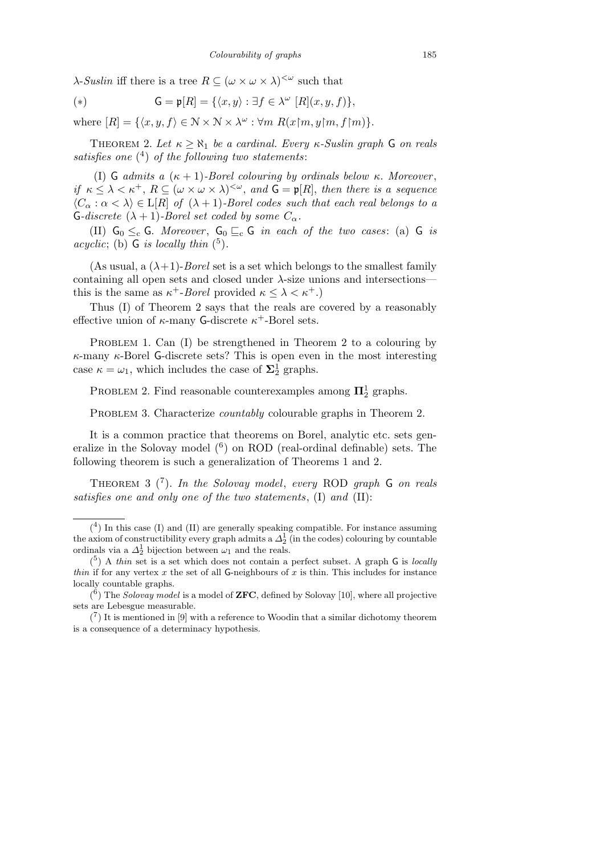*λ*-*Suslin* iff there is a tree  $R \subseteq (\omega \times \omega \times \lambda)^{<\omega}$  such that

$$
(\ast) \qquad \qquad \mathsf{G}=\mathfrak{p}[R]=\{\langle x,y\rangle:\exists f\in \lambda^\omega\ [R](x,y,f)\},
$$

where  $[R] = \{ \langle x, y, f \rangle \in \mathcal{N} \times \mathcal{N} \times \lambda^{\omega} : \forall m \ R(x \upharpoonright m, y \upharpoonright m, f \upharpoonright m) \}.$ 

THEOREM 2. Let  $\kappa \geq \aleph_1$  be a cardinal. Every  $\kappa$ -Suslin graph G on reals *satisfies one* ( 4 ) *of the following two statements*:

(I) G *admits a*  $(\kappa + 1)$ *-Borel colouring by ordinals below*  $\kappa$ *. Moreover*, *if*  $\kappa \leq \lambda \lt \kappa^+$ ,  $R \subseteq (\omega \times \omega \times \lambda)^{<\omega}$ , and  $G = \mathfrak{p}[R]$ , then there is a sequence  $\langle C_{\alpha} : \alpha \langle \lambda \rangle \in L[R]$  *of*  $(\lambda + 1)$ *-Borel codes such that each real belongs to a* G-discrete  $(\lambda + 1)$ -Borel set coded by some  $C_{\alpha}$ .

(II)  $G_0 \leq_c G$ *. Moreover*,  $G_0 \subseteq_c G$  *in each of the two cases*: (a) G *is acyclic*; (b)  $\overline{G}$  *is locally thin*  $({}^{5})$ *.* 

(As usual, a  $(\lambda+1)$ -*Borel* set is a set which belongs to the smallest family containing all open sets and closed under *λ*-size unions and intersections this is the same as  $\kappa^+$ -*Borel* provided  $\kappa \leq \lambda < \kappa^+$ .)

Thus (I) of Theorem 2 says that the reals are covered by a reasonably effective union of *κ*-many G-discrete *κ* <sup>+</sup>-Borel sets.

PROBLEM 1. Can (I) be strengthened in Theorem 2 to a colouring by *κ*-many *κ*-Borel G-discrete sets? This is open even in the most interesting case  $\kappa = \omega_1$ , which includes the case of  $\Sigma_2^1$  graphs.

PROBLEM 2. Find reasonable counterexamples among  $\Pi^1_2$  graphs.

PROBLEM 3. Characterize *countably* colourable graphs in Theorem 2.

It is a common practice that theorems on Borel, analytic etc. sets generalize in the Solovay model (<sup>6</sup>) on ROD (real-ordinal definable) sets. The following theorem is such a generalization of Theorems 1 and 2.

Theorem 3 (<sup>7</sup> ). *In the Solovay model*, *every* ROD *graph* G *on reals satisfies one and only one of the two statements*, (I) *and* (II):

 $(4)$  In this case (I) and (II) are generally speaking compatible. For instance assuming the axiom of constructibility every graph admits a  $\varDelta^{1}_{2}$  (in the codes) colouring by countable ordinals via a  $\Delta_2^1$  bijection between  $\omega_1$  and the reals.

 $(5)$  A *thin* set is a set which does not contain a perfect subset. A graph G is *locally thin* if for any vertex  $x$  the set of all G-neighbours of  $x$  is thin. This includes for instance locally countable graphs.

 $\binom{6}{10}$  The *Solovay model* is a model of **ZFC**, defined by Solovay [10], where all projective sets are Lebesgue measurable.

 $\binom{7}{1}$  It is mentioned in [9] with a reference to Woodin that a similar dichotomy theorem is a consequence of a determinacy hypothesis.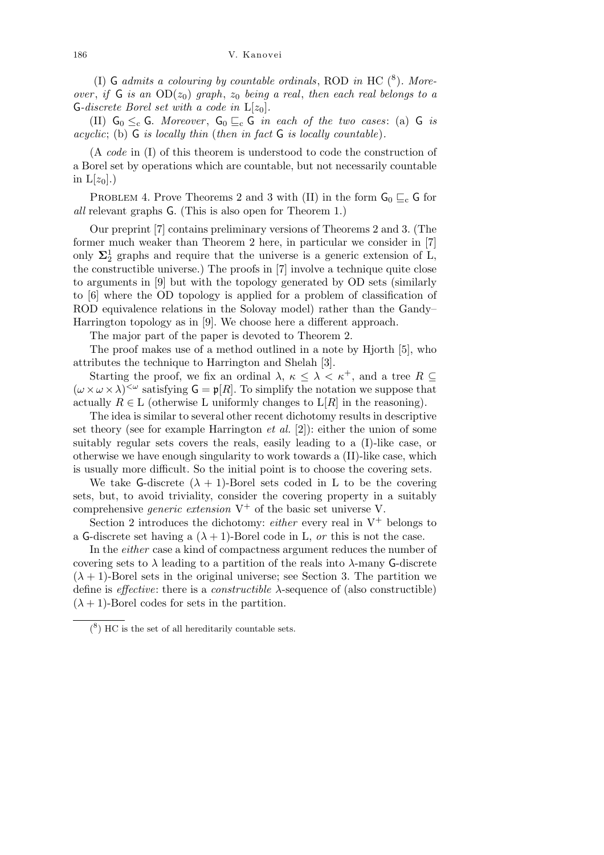(I) G *admits a colouring by countable ordinals*, ROD *in* HC (<sup>8</sup> )*. Moreover*, *if* G *is an*  $OD(z_0)$  *graph*,  $z_0$  *being a real*, *then each real belongs to a* G-discrete Borel set with a code in  $L[z_0]$ .

(II)  $G_0 \leq_c G$ *. Moreover*,  $G_0 \subseteq_c G$  *in each of the two cases*: (a) G *is acyclic*; (b) G *is locally thin* (*then in fact* G *is locally countable*)*.*

(A *code* in (I) of this theorem is understood to code the construction of a Borel set by operations which are countable, but not necessarily countable in  $L[z_0]$ .)

PROBLEM 4. Prove Theorems 2 and 3 with (II) in the form  $G_0 \sqsubseteq_c G$  for *all* relevant graphs G*.* (This is also open for Theorem 1.)

Our preprint [7] contains preliminary versions of Theorems 2 and 3. (The former much weaker than Theorem 2 here, in particular we consider in [7] only  $\Sigma^1_2$  graphs and require that the universe is a generic extension of L, the constructible universe.) The proofs in [7] involve a technique quite close to arguments in [9] but with the topology generated by OD sets (similarly to [6] where the OD topology is applied for a problem of classification of ROD equivalence relations in the Solovay model) rather than the Gandy– Harrington topology as in [9]. We choose here a different approach.

The major part of the paper is devoted to Theorem 2.

The proof makes use of a method outlined in a note by Hjorth [5], who attributes the technique to Harrington and Shelah [3].

Starting the proof, we fix an ordinal  $\lambda, \kappa \leq \lambda < \kappa^+$ , and a tree  $R \subseteq$  $(\omega \times \omega \times \lambda)^{<\omega}$  satisfying  $\mathsf{G} = \mathfrak{p}[R]$ . To simplify the notation we suppose that actually  $R \in L$  (otherwise L uniformly changes to  $L[R]$  in the reasoning).

The idea is similar to several other recent dichotomy results in descriptive set theory (see for example Harrington *et al.* [2]): either the union of some suitably regular sets covers the reals, easily leading to a (I)-like case, or otherwise we have enough singularity to work towards a (II)-like case, which is usually more difficult. So the initial point is to choose the covering sets.

We take G-discrete  $(\lambda + 1)$ -Borel sets coded in L to be the covering sets, but, to avoid triviality, consider the covering property in a suitably comprehensive *generic extension* V<sup>+</sup> of the basic set universe V*.*

Section 2 introduces the dichotomy: *either* every real in  $V^+$  belongs to a G-discrete set having a  $(\lambda + 1)$ -Borel code in L, *or* this is not the case.

In the *either* case a kind of compactness argument reduces the number of covering sets to  $\lambda$  leading to a partition of the reals into  $\lambda$ -many G-discrete  $(\lambda + 1)$ -Borel sets in the original universe; see Section 3. The partition we define is *effective*: there is a *constructible λ*-sequence of (also constructible)  $(\lambda + 1)$ -Borel codes for sets in the partition.

 $(8)$  HC is the set of all hereditarily countable sets.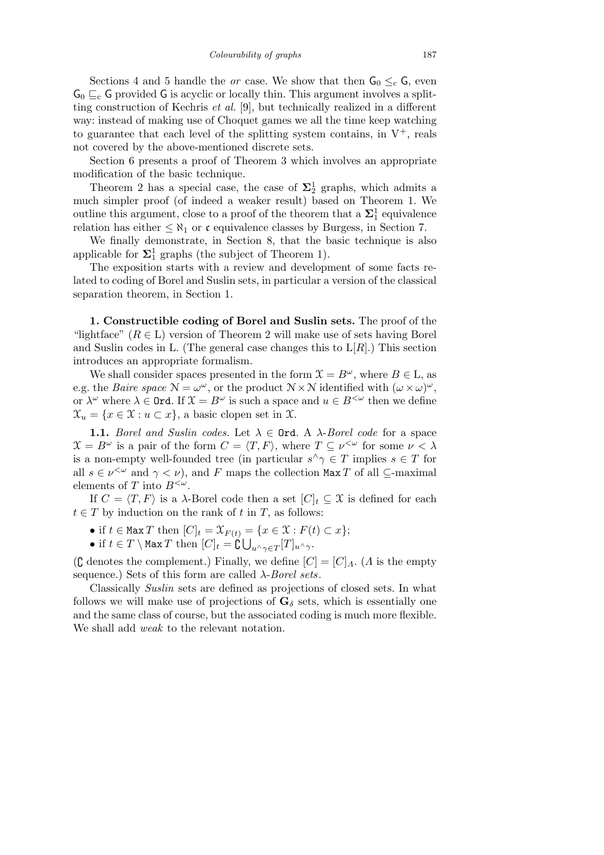Sections 4 and 5 handle the *or* case. We show that then  $G_0 \leq_c G$ , even  $\mathsf{G}_0 \sqsubseteq_{\mathrm{c}} \mathsf{G}$  provided  $\mathsf{G}$  is acyclic or locally thin. This argument involves a splitting construction of Kechris *et al.* [9], but technically realized in a different way: instead of making use of Choquet games we all the time keep watching to guarantee that each level of the splitting system contains, in  $V^+$ , reals not covered by the above-mentioned discrete sets.

Section 6 presents a proof of Theorem 3 which involves an appropriate modification of the basic technique.

Theorem 2 has a special case, the case of  $\Sigma^1_2$  graphs, which admits a much simpler proof (of indeed a weaker result) based on Theorem 1. We outline this argument, close to a proof of the theorem that a  $\Sigma_1^1$  equivalence relation has either  $\leq \aleph_1$  or c equivalence classes by Burgess, in Section 7.

We finally demonstrate, in Section 8, that the basic technique is also applicable for  $\Sigma_1^1$  graphs (the subject of Theorem 1).

The exposition starts with a review and development of some facts related to coding of Borel and Suslin sets, in particular a version of the classical separation theorem, in Section 1.

**1. Constructible coding of Borel and Suslin sets.** The proof of the "lightface"  $(R \in L)$  version of Theorem 2 will make use of sets having Borel and Suslin codes in L*.* (The general case changes this to L[*R*].) This section introduces an appropriate formalism.

We shall consider spaces presented in the form  $\mathfrak{X} = B^{\omega}$ , where  $B \in \mathcal{L}$ , as e.g. the *Baire space*  $\mathcal{N} = \omega^{\omega}$ , or the product  $\mathcal{N} \times \mathcal{N}$  identified with  $(\omega \times \omega)^{\omega}$ , or  $\lambda^{\omega}$  where  $\lambda \in \text{Ord}$ . If  $\mathfrak{X} = B^{\omega}$  is such a space and  $u \in B^{<\omega}$  then we define  $\mathcal{X}_u = \{x \in \mathcal{X} : u \subset x\}$ , a basic clopen set in  $\mathcal{X}$ .

**1.1.** *Borel and Suslin codes.* Let  $\lambda \in \mathbf{Ord}$ . A  $\lambda$ -*Borel code* for a space  $\mathfrak{X} = B^{\omega}$  is a pair of the form  $C = \langle T, F \rangle$ , where  $T \subseteq \nu^{\leq \omega}$  for some  $\nu < \lambda$ is a non-empty well-founded tree (in particular  $s^{\wedge} \gamma \in T$  implies  $s \in T$  for all  $s \in \nu^{\leq \omega}$  and  $\gamma \leq \nu$ , and *F* maps the collection Max *T* of all  $\subseteq$ -maximal elements of *T* into  $B^{\langle \omega \rangle}$ .

If  $C = \langle T, F \rangle$  is a  $\lambda$ -Borel code then a set  $[C]_t \subseteq \mathfrak{X}$  is defined for each  $t \in T$  by induction on the rank of  $t$  in  $T$ , as follows:

- if *t* ∈ Max *T* then  $[C]_t = \mathcal{X}_{F(t)} = \{x \in \mathcal{X} : F(t) \subset x\};$
- if  $t \in T \setminus \text{Max } T$  then  $[C]_t = \mathbb{C} \bigcup_{u \wedge \gamma \in T} [T]_{u \wedge \gamma}$ .

( ${{\mathbb C}}$  denotes the complement.) Finally, we define  $[C] = [C]_A$ . (*Λ* is the empty sequence.) Sets of this form are called *λ*-*Borel sets*.

Classically *Suslin* sets are defined as projections of closed sets. In what follows we will make use of projections of  $G_{\delta}$  sets, which is essentially one and the same class of course, but the associated coding is much more flexible. We shall add *weak* to the relevant notation.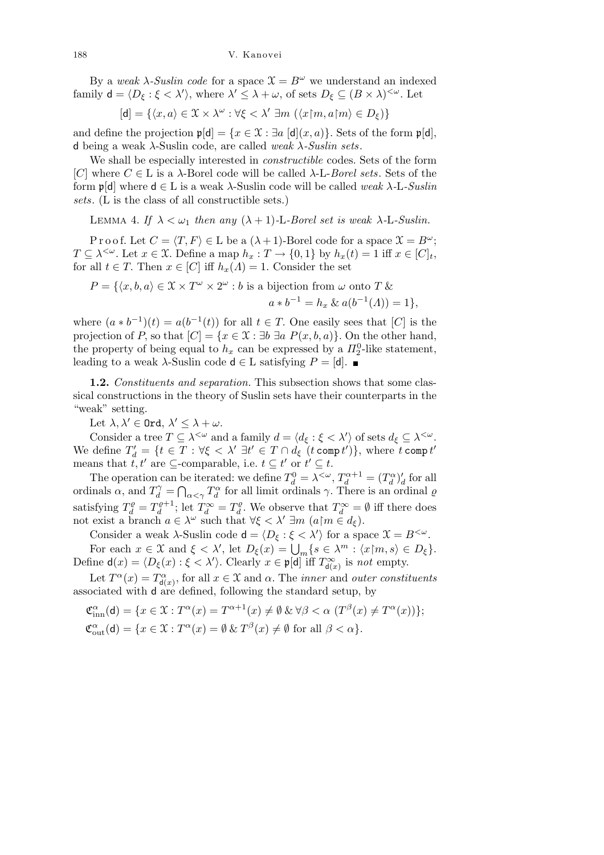By a *weak*  $\lambda$ -Suslin code for a space  $\mathfrak{X} = B^{\omega}$  we understand an indexed family  $d = \langle D_{\xi} : \xi < \lambda' \rangle$ , where  $\lambda' \leq \lambda + \omega$ , of sets  $D_{\xi} \subseteq (B \times \lambda)^{<\omega}$ . Let

$$
[\mathbf{d}]=\{\langle x,a\rangle\in\mathcal{X}\times\lambda^\omega:\forall\xi<\lambda'\;\exists m\;(\langle x{\restriction} m,a{\restriction} m\rangle\in D_\xi)\}
$$

and define the projection  $\mathfrak{p}[\mathbf{d}] = \{x \in \mathfrak{X} : \exists a \; [\mathbf{d}](x, a)\}\$ . Sets of the form  $\mathfrak{p}[\mathbf{d}]$ *,* d being a weak *λ*-Suslin code, are called *weak λ-Suslin sets*.

We shall be especially interested in *constructible* codes. Sets of the form [*C*] where *C ∈* L is a *λ*-Borel code will be called *λ*-L-*Borel sets*. Sets of the form p[d] where d *∈* L is a weak *λ*-Suslin code will be called *weak λ-*L*-Suslin sets*. (L is the class of all constructible sets.)

LEMMA 4. *If*  $\lambda < \omega_1$  *then any*  $(\lambda + 1)$ -L-Borel set is weak  $\lambda$ -L-Suslin.

P r o o f. Let  $C = \langle T, F \rangle \in L$  be a  $(\lambda + 1)$ -Borel code for a space  $\mathfrak{X} = B^{\omega}$ ;  $T \subseteq \lambda^{\leq \omega}$ . Let  $x \in \mathcal{X}$ . Define a map  $h_x : T \to \{0, 1\}$  by  $h_x(t) = 1$  iff  $x \in [C]_t$ , for all  $t \in T$ . Then  $x \in [C]$  iff  $h_x(\Lambda) = 1$ . Consider the set

$$
P = \{ \langle x, b, a \rangle \in \mathcal{X} \times T^{\omega} \times 2^{\omega} : b \text{ is a bijection from } \omega \text{ onto } T \& a * b^{-1} = h_x \& a(b^{-1}(A)) = 1 \},\
$$

where  $(a * b^{-1})(t) = a(b^{-1}(t))$  for all  $t \in T$ . One easily sees that [*C*] is the projection of *P*, so that  $[C] = \{x \in \mathcal{X} : \exists b \exists a \ P(x, b, a)\}.$  On the other hand, the property of being equal to  $h_x$  can be expressed by a  $\Pi_2^0$ -like statement, leading to a weak *λ*-Suslin code  $d \in L$  satisfying  $P = [d]$ .

**1.2.** *Constituents and separation.* This subsection shows that some classical constructions in the theory of Suslin sets have their counterparts in the "weak" setting.

Let  $\lambda, \lambda' \in \mathsf{Ord}, \lambda' \leq \lambda + \omega$ .

Consider a tree  $T \subseteq \lambda^{<\omega}$  and a family  $d = \langle d_{\xi} : \xi < \lambda' \rangle$  of sets  $d_{\xi} \subseteq \lambda^{<\omega}$ . We define  $T'_d = \{t \in T : \forall \xi < \lambda' \; \exists t' \in T \cap d_{\xi} \; (t \text{ comp } t')\}, \text{ where } t \text{ comp } t'$ means that  $\overline{t}$ ,  $t'$  are  $\subseteq$ -comparable, i.e.  $t \subseteq t'$  or  $t' \subseteq t$ .

The operation can be iterated: we define  $T_d^0 = \lambda^{<\omega}$ ,  $T_d^{\alpha+1} = (T_d^{\alpha})_d^{\prime}$  for all ordinals  $\alpha$ , and  $T_d^{\gamma} = \bigcap_{\alpha < \gamma} T_d^{\alpha}$  for all limit ordinals  $\gamma$ . There is an ordinal  $\varrho$ satisfying  $T_d^{\varrho} = T_d^{\varrho+1}$  $T_d^{\varrho+1}$ ; let  $T_d^{\infty} = T_d^{\varrho}$  $d^{\circ}$ . We observe that  $T_d^{\infty} = \emptyset$  iff there does not exist a branch  $a \in \lambda^{\omega}$  such that  $\forall \xi < \lambda' \exists m \ (a \vert m \in d_{\xi}).$ 

Consider a weak *λ*-Suslin code  $\mathsf{d} = \langle D_{\xi} : \xi < \lambda' \rangle$  for a space  $\mathfrak{X} = B^{< \omega}$ . For each  $x \in \mathcal{X}$  and  $\xi < \lambda'$ , let  $D_{\xi}(x) = \bigcup_{m} \{s \in \lambda^m : \langle x \upharpoonright m, s \rangle \in D_{\xi}\}.$ Define  $d(x) = \langle D_{\xi}(x) : \xi < \lambda' \rangle$ . Clearly  $x \in \mathfrak{p}[d]$  iff  $T_{d(x)}^{\infty}$  is *not* empty.

Let  $T^{\alpha}(x) = T^{\alpha}_{\mathsf{d}(x)}$ , for all  $x \in \mathfrak{X}$  and  $\alpha$ . The *inner* and *outer constituents* associated with d are defined, following the standard setup, by

$$
\mathfrak{C}_{\text{inn}}^{\alpha}(\mathbf{d}) = \{ x \in \mathfrak{X} : T^{\alpha}(x) = T^{\alpha+1}(x) \neq \emptyset \& \forall \beta < \alpha \ (T^{\beta}(x) \neq T^{\alpha}(x)) \};
$$
  

$$
\mathfrak{C}_{\text{out}}^{\alpha}(\mathbf{d}) = \{ x \in \mathfrak{X} : T^{\alpha}(x) = \emptyset \& T^{\beta}(x) \neq \emptyset \text{ for all } \beta < \alpha \}.
$$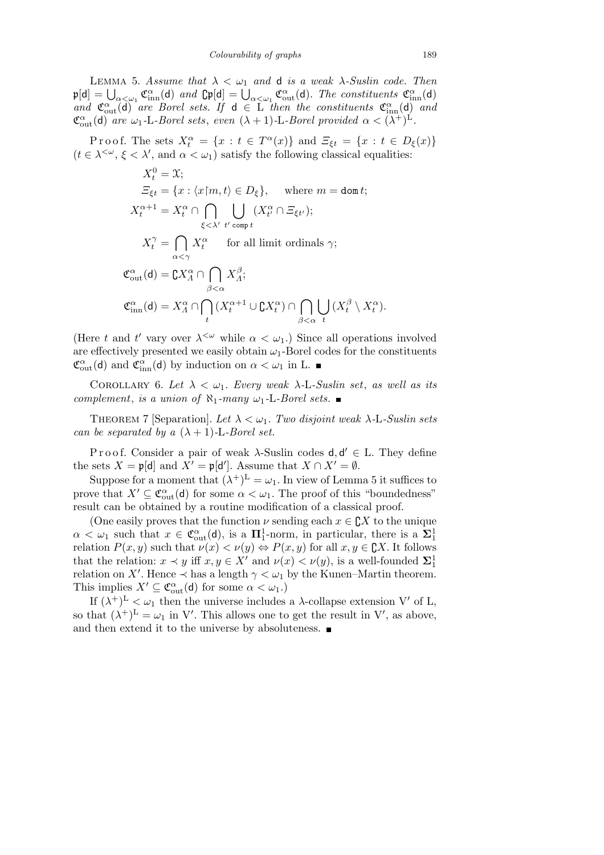LEMMA 5. *Assume that*  $\lambda < \omega_1$  *and* **d** *is a weak*  $\lambda$ -Suslin code. Then *α α α α α α α α α α α α α α α α α α α α α α α α α α α α α α α α α α α α α* and  $\mathfrak{C}_{out}^{\alpha}(d)$  *are Borel sets. If*  $d \in L$  *then the constituents*  $\mathfrak{C}_{inn}^{\alpha}(d)$  *and*  $\mathfrak{C}_{\text{out}}^{\alpha}(\mathsf{d})$  are  $\omega_1$ -L-Borel sets, even  $(\lambda + 1)$ -L-Borel provided  $\alpha < (\lambda^+)^L$ .

Proof. The sets  $X_t^{\alpha} = \{x : t \in T^{\alpha}(x)\}\$  and  $\mathcal{Z}_{\xi t} = \{x : t \in D_{\xi}(x)\}\$  $(t \in \lambda^{\leq \omega}, \xi \leq \lambda'$ , and  $\alpha \leq \omega_1$ ) satisfy the following classical equalities:

$$
X_t^0 = \mathfrak{X};
$$
  
\n
$$
\Xi_{\xi t} = \{x : \langle x \upharpoonright m, t \rangle \in D_{\xi}\}, \text{ where } m = \text{dom } t;
$$
  
\n
$$
X_t^{\alpha+1} = X_t^{\alpha} \cap \bigcap_{\xi < \lambda'} \bigcup_{t' \text{ comp } t} (X_{t'}^{\alpha} \cap \Xi_{\xi t'});
$$
  
\n
$$
X_t^{\gamma} = \bigcap_{\alpha < \gamma} X_t^{\alpha} \text{ for all limit ordinals } \gamma;
$$
  
\n
$$
\mathfrak{C}_{\text{out}}^{\alpha}(\mathbf{d}) = \mathbb{C}X_A^{\alpha} \cap \bigcap_{\beta < \alpha} X_A^{\beta};
$$
  
\n
$$
\mathfrak{C}_{\text{inn}}^{\alpha}(\mathbf{d}) = X_A^{\alpha} \cap \bigcap_{t} (X_t^{\alpha+1} \cup \mathbb{C}X_t^{\alpha}) \cap \bigcap_{\beta < \alpha} \bigcup_{t} (X_t^{\beta} \setminus X_t^{\alpha}).
$$

(Here *t* and *t'* vary over  $\lambda^{\langle \omega \rangle}$  while  $\alpha \langle \omega_1 \rangle$ ) Since all operations involved are effectively presented we easily obtain  $\omega_1$ -Borel codes for the constituents  $\mathfrak{C}_{\text{out}}^{\alpha}(\mathsf{d})$  and  $\mathfrak{C}_{\text{inn}}^{\alpha}(\mathsf{d})$  by induction on  $\alpha < \omega_1$  in L.

COROLLARY 6. Let  $\lambda < \omega_1$ . Every weak  $\lambda$ -L-Suslin set, as well as its *complement*, *is a union of*  $\aleph_1$ *-many*  $\omega_1$ *-L-Borel sets.* 

THEOREM 7 [Separation]. Let  $\lambda < \omega_1$ . Two disjoint weak  $\lambda$ -L-Suslin sets *can be separated by a*  $(\lambda + 1)$ -L-Borel set.

P r o o f. Consider a pair of weak λ-Suslin codes **d**, **d'** ∈ L. They define the sets  $X = \mathfrak{p}[d]$  and  $X' = \mathfrak{p}[d']$ . Assume that  $X \cap X' = \emptyset$ .

Suppose for a moment that  $(\lambda^+)^L = \omega_1$ . In view of Lemma 5 it suffices to prove that  $X' \subseteq \mathfrak{C}_{\text{out}}^{\alpha}(\mathsf{d})$  for some  $\alpha < \omega_1$ . The proof of this "boundedness" result can be obtained by a routine modification of a classical proof.

(One easily proves that the function  $\nu$  sending each  $x \in \mathbb{C}X$  to the unique  $\alpha < \omega_1$  such that  $x \in \mathfrak{C}_{\text{out}}^{\alpha}(\mathsf{d})$ , is a  $\Pi_1^1$ -norm, in particular, there is a  $\Sigma_1^1$ relation  $P(x, y)$  such that  $\nu(x) < \nu(y) \Leftrightarrow P(x, y)$  for all  $x, y \in \mathbb{C}X$ . It follows that the relation:  $x \prec y$  iff  $x, y \in X'$  and  $\nu(x) \langle \nu(y), \nu(y) \rangle$  is a well-founded  $\Sigma_1^1$ relation on *X<sup>'</sup>*. Hence  $\prec$  has a length  $\gamma < \omega_1$  by the Kunen–Martin theorem. This implies  $X' \subseteq \mathfrak{C}_{\text{out}}^{\alpha}(\mathsf{d})$  for some  $\alpha < \omega_1$ .)

If  $(\lambda^+)^L < \omega_1$  then the universe includes a *λ*-collapse extension V' of L, so that  $(\lambda^+)^L = \omega_1$  in V'. This allows one to get the result in V', as above, and then extend it to the universe by absoluteness.  $\blacksquare$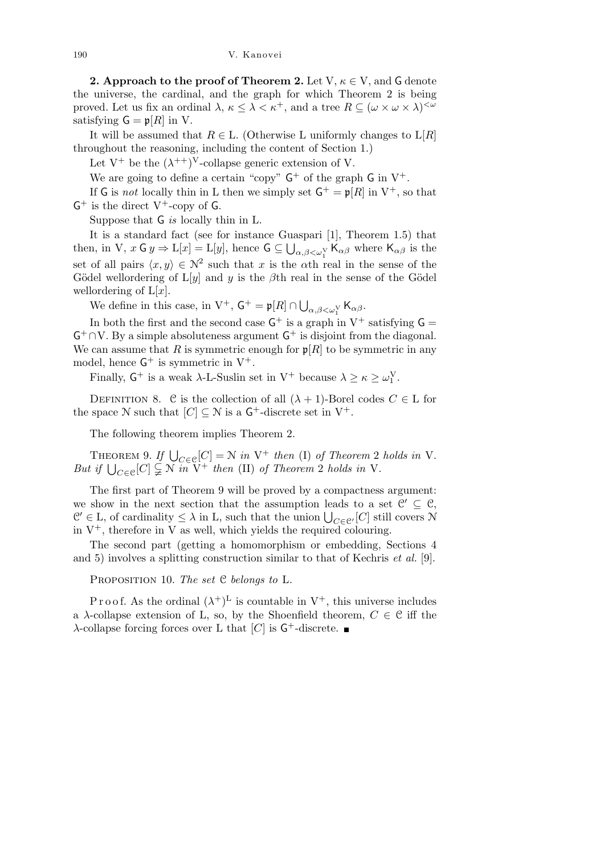**2. Approach to the proof of Theorem 2.** Let  $V, \kappa \in V$ , and G denote the universe, the cardinal, and the graph for which Theorem 2 is being proved. Let us fix an ordinal  $\lambda, \kappa \leq \lambda < \kappa^+$ , and a tree  $R \subseteq (\omega \times \omega \times \lambda)^{<\omega}$ satisfying  $G = \mathfrak{p}[R]$  in V.

It will be assumed that  $R \in L$ . (Otherwise L uniformly changes to  $L[R]$ throughout the reasoning, including the content of Section 1.)

Let  $V^+$  be the  $(\lambda^{++})^V$ -collapse generic extension of V.

We are going to define a certain "copy"  $G^+$  of the graph G in  $V^+$ .

If G is *not* locally thin in L then we simply set  $G^+ = \mathfrak{p}[R]$  in  $V^+$ , so that  $G^+$  is the direct V<sup>+</sup>-copy of G.

Suppose that G *is* locally thin in L.

It is a standard fact (see for instance Guaspari [1], Theorem 1.5) that S then, in V,  $x \in y \Rightarrow L[x] = L[y]$ , hence  $G \subseteq \bigcup_{\alpha,\beta<\omega_1^{\vee}} K_{\alpha\beta}$  where  $K_{\alpha\beta}$  is the set of all pairs  $\langle x, y \rangle \in \mathbb{N}^2$  such that *x* is the *α*th real in the sense of the Gödel wellordering of  $L[y]$  and *y* is the *β*th real in the sense of the Gödel wellordering of L[*x*].

We define in this case, in  $V^+$ ,  $G^+ = \mathfrak{p}[R] \cap \bigcup$  $\alpha, \beta < \omega_1^{\text{V}}$  Κ $\alpha$ β.

In both the first and the second case  $G^+$  is a graph in  $V^+$  satisfying  $G =$  $G^+ \cap V$ . By a simple absoluteness argument  $G^+$  is disjoint from the diagonal. We can assume that *R* is symmetric enough for  $p[R]$  to be symmetric in any model, hence  $G^+$  is symmetric in  $V^+$ .

Finally,  $G^+$  is a weak  $\lambda$ -L-Suslin set in  $V^+$  because  $\lambda \geq \kappa \geq \omega_1^V$ .

DEFINITION 8. C is the collection of all  $(\lambda + 1)$ -Borel codes  $C \in L$  for the space N such that  $[C] \subseteq N$  is a  $G^+$ -discrete set in  $V^+$ .

The following theorem implies Theorem 2.

THEOREM 9. If  $\bigcup_{C \in \mathcal{C}} [C] = \mathcal{N}$  *in* V<sup>+</sup> *then* (I) *of Theorem* 2 *holds in* V. *But if*  $\bigcup_{C \in \mathcal{C}} [C] \subsetneq N$  *in*  $V^+$  *then* (II) *of Theorem* 2 *holds in* V*.* 

The first part of Theorem 9 will be proved by a compactness argument: we show in the next section that the assumption leads to a set  $\mathcal{C}' \subseteq \mathcal{C}$ , we show in the next section that the assumption leads to a set  $C \subseteq C$ ,  $C' \in L$ , of cardinality  $\leq \lambda$  in L, such that the union  $\bigcup_{C \in \mathcal{C}'} [C]$  still covers N in  $V^+$ , therefore in V as well, which yields the required colouring.

The second part (getting a homomorphism or embedding, Sections 4 and 5) involves a splitting construction similar to that of Kechris *et al.* [9].

Proposition 10. *The set* C *belongs to* L*.*

P r o o f. As the ordinal  $(\lambda^+)^L$  is countable in  $V^+$ , this universe includes a *λ*-collapse extension of L, so, by the Shoenfield theorem,  $C \in \mathcal{C}$  iff the  $\lambda$ -collapse forcing forces over L that  $[C]$  is  $G^+$ -discrete.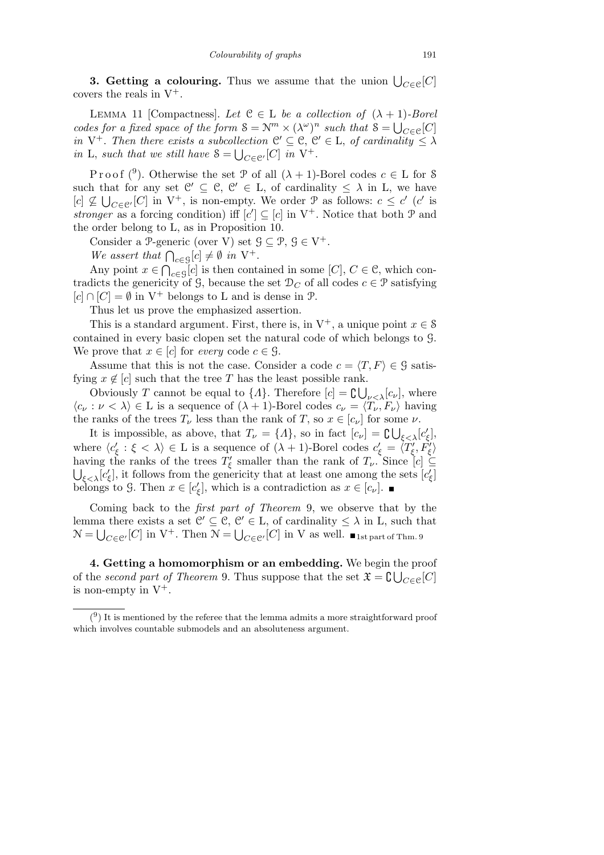**3. Getting a colouring.** Thus we assume that the union  $\bigcup_{C \in \mathcal{C}} [C]$ covers the reals in V<sup>+</sup>*.*

LEMMA 11 [Compactness]. Let  $C \in L$  *be a collection of*  $(\lambda + 1)$ *-Borel codes for a fixed space of the form*  $S = N^m \times (\lambda^{\omega})^n$  *such that*  $S = \bigcup_{C \in \mathcal{C}} [C]$ *in*  $V^+$ *. Then there exists a subcollection*  $C' \subseteq C$ ,  $C' \in L$ *, of cardinality*  $\leq \lambda$ *in* L, such that we still have  $S = \bigcup_{C \in \mathcal{C}'} [C]$  *in* V<sup>+</sup>.

Proof (<sup>9</sup>). Otherwise the set P of all  $(\lambda + 1)$ -Borel codes  $c \in L$  for S such that for any set  $\mathcal{C}' \subseteq \mathcal{C}, \mathcal{C}' \in L$ , of cardinality  $\leq \lambda$  in L, we have  $[c] \nsubseteq \bigcup_{C \in \mathcal{C}} [C]$  in  $V^+$ , is non-empty. We order  $\mathcal{P}$  as follows:  $c \leq c'$  (*c'* is *stronger* as a forcing condition) iff  $[c'] \subseteq [c]$  in V<sup>+</sup>. Notice that both P and the order belong to L*,* as in Proposition 10.

Consider a P-generic (over V) set  $\mathcal{G} \subseteq \mathcal{P}, \mathcal{G} \in V^+$ .

*We assert that*  $\bigcap_{c \in \mathcal{G}} [c] \neq \emptyset$  *in* V<sup>+</sup>.

Any point  $x \in \bigcap_{c \in \mathcal{G}}[c]$  is then contained in some  $[C], C \in \mathcal{C}$ , which contradicts the genericity of G, because the set  $\mathcal{D}_C$  of all codes  $c \in \mathcal{P}$  satisfying  $[c] \cap [C] = \emptyset$  in V<sup>+</sup> belongs to L and is dense in P.

Thus let us prove the emphasized assertion.

This is a standard argument. First, there is, in  $V^+$ , a unique point  $x \in \mathcal{S}$ contained in every basic clopen set the natural code of which belongs to G*.* We prove that  $x \in [c]$  for *every* code  $c \in \mathcal{G}$ .

Assume that this is not the case. Consider a code  $c = \langle T, F \rangle \in \mathcal{G}$  satisfying  $x \notin [c]$  such that the tree *T* has the least possible rank. IK.<br>I

Obviously *T* cannot be equal to  $\{$ \}*.* Therefore  $[c] = \mathbb{C}$  $\nu < \lambda$ [*c*<sub>*ν*</sub>]*,* where  $\langle c_{\nu} : \nu \langle \lambda \rangle \in L$  is a sequence of  $(\lambda + 1)$ -Borel codes  $c_{\nu} = \langle T_{\nu}, F_{\nu} \rangle$  having the ranks of the trees  $T_\nu$  less than the rank of  $T$ , so  $x \in [c_\nu]$  for some  $\nu$ .

It is impossible, as above, that  $T_{\nu} = \{A\}$ , so in fact  $[c_{\nu}] = \mathbb{C} \bigcup_{\xi < \lambda} [c_{\xi}']$ , where  $\langle c'_\xi : \xi < \lambda \rangle \in L$  is a sequence of  $(\lambda + 1)$ -Borel codes  $c'_\xi = \langle T'_\xi, F'_\xi \rangle$ having the ranks of the trees  $T'_\xi$  smaller than the rank of  $T_\nu$ . Since  $[c] \subseteq$  $\epsilon \leq \lambda [c'_{\xi}]$ , it follows from the genericity that at least one among the sets  $[c'_{\xi}]$ belongs to G. Then  $x \in [c'_{\xi}]$ , which is a contradiction as  $x \in [c_{\nu}]$ .

Coming back to the *first part of Theorem* 9, we observe that by the lemma there exists a set  $\mathcal{C}' \subseteq \mathcal{C}, \mathcal{C}' \in L$ , of cardinality  $\leq \lambda$  in L, such that  $\mathcal{N} = \bigcup_{C \in \mathcal{C}'} [C]$  in  $V^+$ . Then  $\mathcal{N} = \bigcup_{C \in \mathcal{C}'} [C]$  in V as well.  $\blacksquare$ <sub>1st part of Thm</sub>. 9

**4. Getting a homomorphism or an embedding.** We begin the proof S of the *second part of Theorem* 9. Thus suppose that the set  $\mathfrak{X} = \mathbb{C} \bigcup_{C \in \mathcal{C}} [C]$ is non-empty in V<sup>+</sup>*.*

 $(9)$  It is mentioned by the referee that the lemma admits a more straightforward proof which involves countable submodels and an absoluteness argument.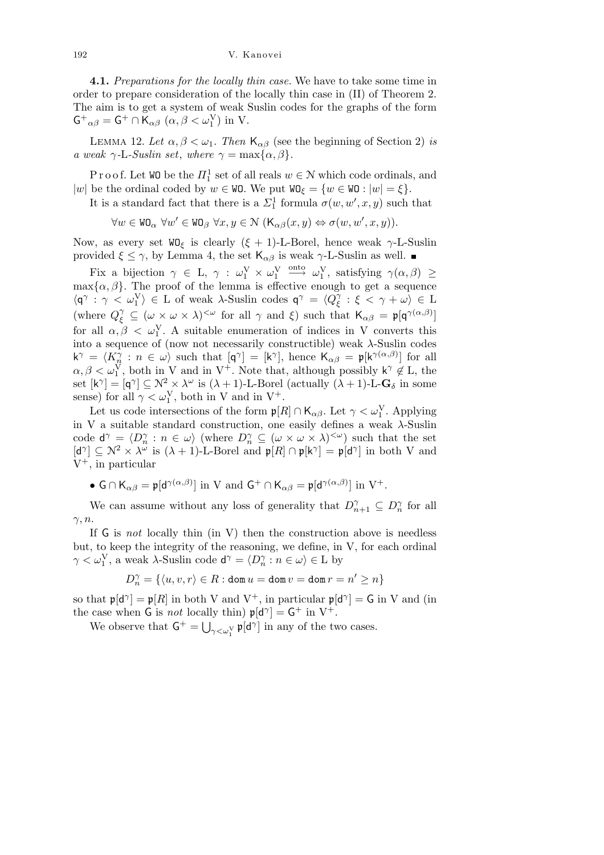192 V. Kanovei

**4.1.** *Preparations for the locally thin case.* We have to take some time in order to prepare consideration of the locally thin case in (II) of Theorem 2. The aim is to get a system of weak Suslin codes for the graphs of the form  $G^+{}_{\alpha\beta} = G^+ \cap \mathsf{K}_{\alpha\beta} \ (\alpha, \beta < \omega_1^{\mathbf{V}}) \text{ in } \mathsf{V}.$ 

LEMMA 12. Let  $\alpha, \beta < \omega_1$ . Then  $K_{\alpha\beta}$  (see the beginning of Section 2) *is a* weak  $\gamma$ -L-Suslin set, where  $\gamma = \max{\{\alpha, \beta\}}$ .

P r o o f. Let  $W0$  be the  $\Pi_1^1$  set of all reals  $w \in \mathcal{N}$  which code ordinals, and *|w|* be the ordinal coded by  $w \in W$ **0**. We put  $W$ **O**<sub> $\xi$ </sub> = { $w \in W$ **0** :  $|w| = \xi$ }.

It is a standard fact that there is a  $\Sigma_1^1$  formula  $\sigma(w, w', x, y)$  such that

 $\forall w \in \mathsf{WO}_{\alpha} \ \forall w' \in \mathsf{WO}_{\beta} \ \forall x, y \in \mathcal{N} \ (\mathsf{K}_{\alpha\beta}(x, y) \Leftrightarrow \sigma(w, w', x, y)).$ 

Now, as every set  $W_0$ <sub>ξ</sub> is clearly (*ξ* + 1)-L-Borel, hence weak *γ*-L-Suslin provided  $\xi \leq \gamma$ , by Lemma 4, the set  $\mathsf{K}_{\alpha\beta}$  is weak  $\gamma$ -L-Suslin as well.

Fix a bijection  $\gamma \in L$ ,  $\gamma : \omega_1^V \times \omega_1^V$  $\Rightarrow$   $\omega_1^V$ , satisfying  $\gamma(\alpha, \beta) \geq$ max $\{\alpha, \beta\}$ . The proof of the lemma is effective enough to get a sequence  $\langle q^{\gamma} : \gamma < \omega_1^V \rangle \in L$  of weak *λ*-Suslin codes  $q^{\gamma} = \langle Q_{\xi}^{\gamma} \rangle$ *ξ* : *ξ < γ* + *ωi ∈* L (where  $Q_{\xi}^{\gamma} \subseteq (\omega \times \omega \times \lambda)^{<\omega}$  for all  $\gamma$  and  $\xi$ ) such that  $\mathsf{K}_{\alpha\beta} = \mathfrak{p}[\mathsf{q}^{\gamma(\alpha,\beta)}]$ for all  $\alpha, \beta < \omega_1^V$ . A suitable enumeration of indices in V converts this into a sequence of (now not necessarily constructible) weak *λ*-Suslin codes  $\mathsf{k}^\gamma = \langle K_n^\gamma : n \in \omega \rangle$  such that  $[\mathsf{q}^\gamma] = [\mathsf{k}^\gamma]$ , hence  $\mathsf{K}_{\alpha\beta} = \mathfrak{p}[\mathsf{k}^{\gamma(\alpha,\beta)}]$  for all  $\alpha, \beta < \omega_1^V$ , both in V and in V<sup>+</sup>. Note that, although possibly  $k^{\gamma} \notin L$ , the set  $[k^{\gamma}] = [q^{\gamma}] \subseteq \mathbb{N}^2 \times \lambda^{\omega}$  is  $(\lambda + 1)$ -L-Borel (actually  $(\lambda + 1)$ -L- $\mathbf{G}_{\delta}$  in some sense) for all  $\gamma < \omega_1^V$ , both in V and in V<sup>+</sup>.

Let us code intersections of the form  $\mathfrak{p}[R] \cap \mathsf{K}_{\alpha\beta}$ . Let  $\gamma < \omega_1^{\mathbf{V}}$ . Applying in V a suitable standard construction, one easily defines a weak *λ*-Suslin code  $d^{\gamma} = \langle D_n^{\gamma} : n \in \omega \rangle$  (where  $D_n^{\gamma} \subseteq (\omega \times \omega \times \lambda)^{<\omega}$ ) such that the set  $\lbrack d^{\gamma} \rbrack \subseteq \mathbb{N}^2 \times \lambda^{\omega}$  is  $(\lambda + 1)$ -L-Borel and  $\mathfrak{p}[R] \cap \mathfrak{p}[k^{\gamma}] = \mathfrak{p}[d^{\gamma}]$  in both V and V<sup>+</sup>*,* in particular

• 
$$
G \cap K_{\alpha\beta} = \mathfrak{p}[d^{\gamma(\alpha,\beta)}]
$$
 in V and  $G^+ \cap K_{\alpha\beta} = \mathfrak{p}[d^{\gamma(\alpha,\beta)}]$  in V<sup>+</sup>.

We can assume without any loss of generality that  $D_{n+1}^{\gamma} \subseteq D_n^{\gamma}$  for all *γ, n*.

If G is *not* locally thin (in V) then the construction above is needless but, to keep the integrity of the reasoning, we define, in V*,* for each ordinal *γ* <  $\omega_1^V$ , a weak *λ*-Suslin code  $d^{\gamma} = \langle D_n^{\gamma} : n \in \omega \rangle \in L$  by

$$
D_n^\gamma = \{\langle u,v,r\rangle \in R: \operatorname{dom} u = \operatorname{dom} v = \operatorname{dom} r = n' \geq n\}
$$

so that  $\mathfrak{p}[\mathsf{d}^\gamma] = \mathfrak{p}[R]$  in both V and  $V^+$ , in particular  $\mathfrak{p}[\mathsf{d}^\gamma] = \mathsf{G}$  in V and (in the case when G is *not* locally thin)  $\mathfrak{p}[\mathsf{d}^\gamma] = \mathsf{G}^+$  in  $V^+$ .

We observe that  $G^+ = \bigcup$  $\gamma \langle \omega_1^{\vee} \mathfrak{p}[\mathsf{d}^{\gamma}]$  in any of the two cases.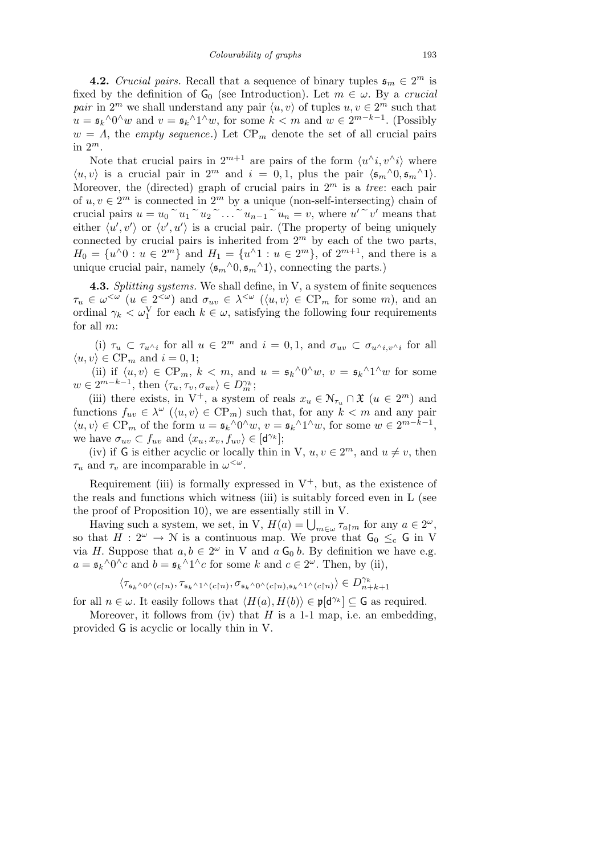**4.2.** *Crucial pairs.* Recall that a sequence of binary tuples  $\mathfrak{s}_m \in 2^m$  is fixed by the definition of  $G_0$  (see Introduction). Let  $m \in \omega$ . By a *crucial pair* in  $2^m$  we shall understand any pair  $\langle u, v \rangle$  of tuples  $u, v \in 2^m$  such that  $u = \mathfrak{s}_k \wedge 0 \wedge w$  and  $v = \mathfrak{s}_k \wedge 1 \wedge w$ , for some  $k < m$  and  $w \in 2^{m-k-1}$ . (Possibly  $w = \Lambda$ , the *empty sequence*.) Let  $\text{CP}_m$  denote the set of all crucial pairs in 2*<sup>m</sup>.*

Note that crucial pairs in  $2^{m+1}$  are pairs of the form  $\langle u^{\wedge}i, v^{\wedge}i \rangle$  where  $\langle u, v \rangle$  is a crucial pair in 2<sup>*m*</sup> and *i* = 0*,* 1*,* plus the pair  $\langle \mathfrak{s}_m \wedge 0, \mathfrak{s}_m \wedge 1 \rangle$ *.* Moreover, the (directed) graph of crucial pairs in  $2^m$  is a *tree*: each pair of  $u, v \in 2^m$  is connected in  $2^m$  by a unique (non-self-intersecting) chain of crucial pairs  $u = u_0 \tilde{u}_1 \tilde{u}_2 \tilde{u}_2 \tilde{u}_3 \ldots \tilde{u}_{n-1} \tilde{u}_n = v$ , where  $u' \tilde{u}'$  means that either  $\langle u', v' \rangle$  or  $\langle v', u' \rangle$  is a crucial pair. (The property of being uniquely connected by crucial pairs is inherited from  $2<sup>m</sup>$  by each of the two parts, *H*<sub>0</sub> = { $u^0$  :  $u \in 2^m$ } and  $H_1 = \{u^0 \mid u \in 2^m\}$ , of  $2^{m+1}$ , and there is a unique crucial pair, namely  $\langle \mathfrak{s}_m \wedge 0, \mathfrak{s}_m \wedge 1 \rangle$ , connecting the parts.)

**4.3.** *Splitting systems.* We shall define, in V*,* a system of finite sequences  $\tau_u \in \omega^{\leq \omega}$  (*u*  $\in 2^{\leq \omega}$ ) and  $\sigma_{uv} \in \lambda^{\leq \omega}$  ( $\langle u, v \rangle \in \text{CP}_m$  for some *m*), and an ordinal  $\gamma_k < \omega_1^{\rm V}$  for each  $k \in \omega$ , satisfying the following four requirements for all *m*:

(i)  $\tau_u \subset \tau_{u \wedge i}$  for all  $u \in 2^m$  and  $i = 0, 1$ , and  $\sigma_{uv} \subset \sigma_{u \wedge i, v \wedge i}$  for all  $\langle u, v \rangle \in \text{CP}_m$  and  $i = 0, 1$ ;

(ii) if  $\langle u, v \rangle \in \text{CP}_m$ ,  $k < m$ , and  $u = \mathfrak{s}_k \wedge 0 \wedge w$ ,  $v = \mathfrak{s}_k \wedge 1 \wedge w$  for some  $w \in 2^{m-k-1}$ , then  $\langle \tau_u, \tau_v, \sigma_{uv} \rangle \in D_m^{\gamma_k}$ ;

(iii) there exists, in  $V^+$ , a system of reals  $x_u \in \mathcal{N}_{\tau_u} \cap \mathfrak{X}$   $(u \in 2^m)$  and functions  $f_{uv} \in \lambda^{\omega}$  ( $\langle u, v \rangle \in \text{CP}_m$ ) such that, for any  $k < m$  and any pair *h*<sub>*u*</sub>, *v*<sup>*j*</sup> ∈ CP<sub>*m*</sub> of the form  $u = \mathfrak{s}_k \land 0 \land w$ ,  $v = \mathfrak{s}_k \land 1 \land w$ , for some  $w \in 2^{m-k-1}$ , we have  $\sigma_{uv} \subset f_{uv}$  and  $\langle x_u, x_v, f_{uv} \rangle \in [d^{\gamma_k}];$ 

(iv) if G is either acyclic or locally thin in V,  $u, v \in 2^m$ , and  $u \neq v$ , then *τ*<sup>*u*</sup> and *τ*<sup>*v*</sup> are incomparable in  $\omega^{\lt \omega}$ .

Requirement (iii) is formally expressed in  $V^+$ , but, as the existence of the reals and functions which witness (iii) is suitably forced even in L (see the proof of Proposition 10), we are essentially still in V*.*

Having such a system, we set, in V,  $H(a) = \bigcup_{m \in \omega} \tau_{a|m}$  for any  $a \in 2^{\omega}$ , so that  $H: 2^{\omega} \to \mathbb{N}$  is a continuous map. We prove that  $\mathsf{G}_0 \leq_{\mathsf{c}} \mathsf{G}$  in V via *H*. Suppose that  $a, b \in 2^{\omega}$  in V and  $a \mathsf{G}_0 b$ . By definition we have e.g.  $a = \mathfrak{s}_k \wedge 0 \wedge c$  and  $b = \mathfrak{s}_k \wedge 1 \wedge c$  for some *k* and  $c \in 2^\omega$ . Then, by (ii),

 $\langle \tau_{\mathfrak{s}_k \wedge 0^\wedge(c \upharpoonright n)}, \tau_{\mathfrak{s}_k \wedge 1^\wedge(c \upharpoonright n)}, \sigma_{\mathfrak{s}_k \wedge 0^\wedge(c \upharpoonright n), \mathfrak{s}_k \wedge 1^\wedge(c \upharpoonright n)} \rangle \in D_{n+k+1}^{\gamma_k}$ 

for all  $n \in \omega$ . It easily follows that  $\langle H(a), H(b) \rangle \in \mathfrak{p}[d^{\gamma_k}] \subseteq G$  as required.

Moreover, it follows from (iv) that  $H$  is a 1-1 map, i.e. an embedding, provided G is acyclic or locally thin in V*.*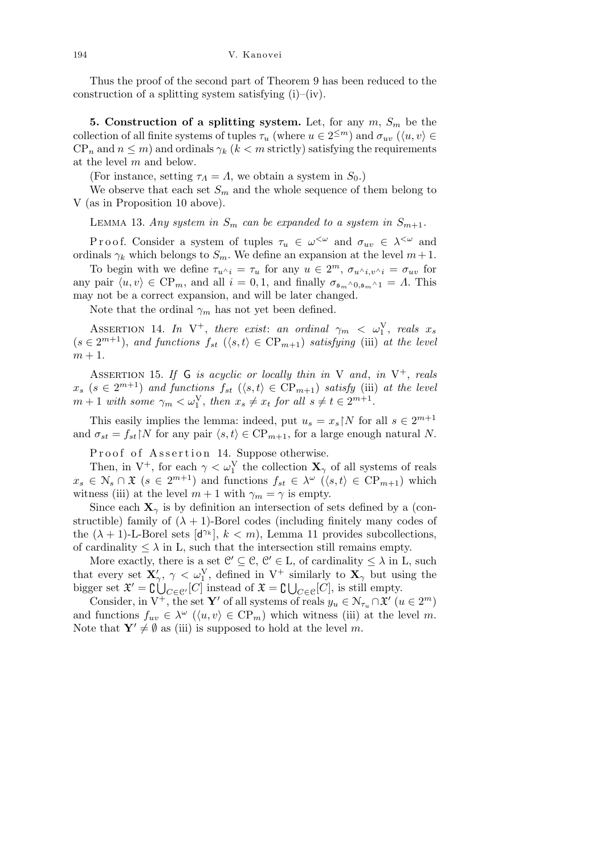Thus the proof of the second part of Theorem 9 has been reduced to the construction of a splitting system satisfying  $(i)$ – $(iv)$ .

**5. Construction of a splitting system.** Let, for any *m, S<sup>m</sup>* be the collection of all finite systems of tuples  $\tau_u$  (where  $u \in 2^{\leq m}$ ) and  $\sigma_{uv}$  ( $\langle u, v \rangle \in$  $\text{CP}_n$  and  $n \leq m$ ) and ordinals  $\gamma_k$  ( $k < m$  strictly) satisfying the requirements at the level *m* and below.

(For instance, setting  $\tau_A = \Lambda$ , we obtain a system in  $S_0$ .)

We observe that each set  $S_m$  and the whole sequence of them belong to V (as in Proposition 10 above).

LEMMA 13. Any system in  $S_m$  can be expanded to a system in  $S_{m+1}$ .

Proof. Consider a system of tuples  $\tau_u \in \omega^{\langle \omega \rangle}$  and  $\sigma_{uv} \in \lambda^{\langle \omega \rangle}$  and ordinals  $\gamma_k$  which belongs to  $S_m$ . We define an expansion at the level  $m+1$ .

To begin with we define  $\tau_{u \wedge i} = \tau_u$  for any  $u \in 2^m$ ,  $\sigma_{u \wedge i, v \wedge i} = \sigma_{uv}$  for any pair  $\langle u, v \rangle \in \text{CP}_m$ , and all  $i = 0, 1$ , and finally  $\sigma_{\mathfrak{s}_m} \delta_{0, \mathfrak{s}_m} \delta_{1} = \Lambda$ . This may not be a correct expansion, and will be later changed.

Note that the ordinal  $\gamma_m$  has not yet been defined.

ASSERTION 14. *In*  $V^+$ , *there exist: an ordinal*  $\gamma_m < \omega_1^V$ , *reals*  $x_s$  $(s \in 2^{m+1})$ , and functions  $f_{st}$   $(\langle s,t \rangle \in \text{CP}_{m+1})$  satisfying (iii) at the level  $m + 1$ .

ASSERTION 15. If G *is acyclic or locally thin in* V *and*, *in*  $V^+$ *, reals*  $x_s$  ( $s \in 2^{m+1}$ ) *and functions*  $f_{st}$  ( $\langle s,t \rangle \in \text{CP}_{m+1}$ ) *satisfy* (iii) *at the level*  $m + 1$  *with some*  $\gamma_m < \omega_1^V$ , *then*  $x_s \neq x_t$  *for all*  $s \neq t \in 2^{m+1}$ *.* 

This easily implies the lemma: indeed, put  $u_s = x_s \upharpoonright N$  for all  $s \in 2^{m+1}$ and  $\sigma_{st} = f_{st}$  *N* for any pair  $\langle s, t \rangle \in \text{CP}_{m+1}$ , for a large enough natural *N*.

Proof of Assertion 14. Suppose otherwise.

Then, in  $V^+$ , for each  $\gamma < \omega_1^V$  the collection  $\mathbf{X}_{\gamma}$  of all systems of reals  $x_s \in \mathcal{N}_s \cap \mathfrak{X}$  (*s*  $\in 2^{m+1}$ ) and functions  $f_{st} \in \lambda^\omega$  ( $\langle s, t \rangle \in \text{CP}_{m+1}$ ) which witness (iii) at the level  $m + 1$  with  $\gamma_m = \gamma$  is empty.

Since each  $\mathbf{X}_{\gamma}$  is by definition an intersection of sets defined by a (constructible) family of  $(\lambda + 1)$ -Borel codes (including finitely many codes of the  $(\lambda + 1)$ -L-Borel sets  $[d^{\gamma_k}]$ ,  $k < m$ ), Lemma 11 provides subcollections, of cardinality  $\leq \lambda$  in L, such that the intersection still remains empty.

More exactly, there is a set  $\mathcal{C}' \subseteq \mathcal{C}, \mathcal{C}' \in L$ , of cardinality  $\leq \lambda$  in L, such that every set  $\mathbf{X}'_{\gamma}$ ,  $\gamma < \omega_{\gamma}^{V}$ , defined in  $V^{+}$  similarly to  $\mathbf{X}_{\gamma}$  but using the bigger set  $\mathfrak{X}' = \mathbb{C} \bigcup_{C \in \mathcal{C}'} [C]$  instead of  $\mathfrak{X} = \mathbb{C} \bigcup_{C \in \mathcal{C}} [C]$ , is still empty.

Consider, in  $V^+$ , the set **Y**<sup>*'*</sup> of all systems of reals  $y_u \in \mathcal{N}_{\tau_u} \cap \mathcal{X}$ <sup>*'*</sup>  $(u \in 2^m)$ and functions  $f_{uv} \in \lambda^{\omega}$  ( $\langle u, v \rangle \in \text{CP}_m$ ) which witness (iii) at the level *m*. Note that  $\mathbf{Y}' \neq \emptyset$  as (iii) is supposed to hold at the level *m*.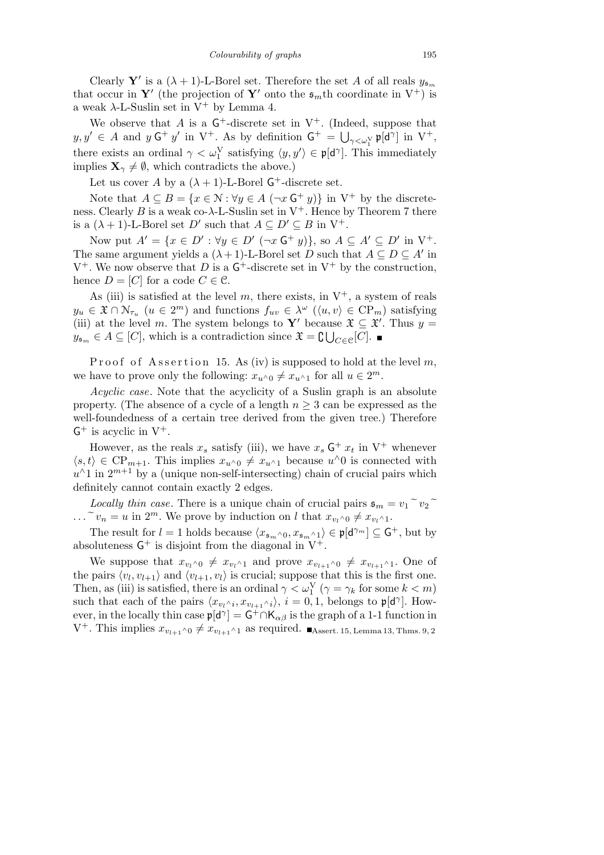Clearly **Y**<sup>*'*</sup> is a  $(\lambda + 1)$ -L-Borel set. Therefore the set *A* of all reals  $y_{\mathfrak{s}_m}$ that occur in **Y**<sup>*'*</sup> (the projection of **Y**<sup>*'*</sup> onto the  $\mathfrak{s}_{m}$ <sup>th</sup> coordinate in V<sup>+</sup>) is a weak  $\lambda$ -L-Suslin set in  $V^+$  by Lemma 4.

We observe that *A* is a  $G^+$ -discrete set in V<sup>+</sup>. (Indeed, suppose that  $y, y' \in A$  and  $y \in G^+$  *y'* in V<sup>+</sup>. As by definition  $G^+ = \bigcup_{\gamma < \omega_\gamma^V} \mathfrak{p}[d^\gamma]$  in V<sup>+</sup>, there exists an ordinal  $\gamma < \omega_1^V$  satisfying  $\langle y, y' \rangle \in \mathfrak{p}[d^{\gamma}]$ . This immediately implies  $\mathbf{X}_{\gamma} \neq \emptyset$ , which contradicts the above.)

Let us cover *A* by a  $(\lambda + 1)$ -L-Borel G<sup>+</sup>-discrete set.

Note that  $A \subseteq B = \{x \in \mathbb{N} : \forall y \in A \ (\neg x \mathsf{G}^+ \ y)\}\$ in V<sup>+</sup> by the discreteness. Clearly *B* is a weak co- $\lambda$ -L-Suslin set in V<sup>+</sup>. Hence by Theorem 7 there is a  $(\lambda + 1)$ -L-Borel set *D'* such that  $A \subseteq D' \subseteq B$  in  $V^+$ .

Now put  $A' = \{x \in D' : \forall y \in D' \; (\neg x \mathsf{G}^+ y)\}\)$ , so  $A \subseteq A' \subseteq D'$  in  $V^+$ . The same argument yields a  $(\lambda + 1)$ -L-Borel set *D* such that  $A \subseteq D \subseteq A'$  in  $V^+$ . We now observe that *D* is a  $G^+$ -discrete set in  $V^+$  by the construction, hence  $D = [C]$  for a code  $C \in \mathcal{C}$ .

As (iii) is satisfied at the level  $m$ , there exists, in  $V^+$ , a system of reals  $y_u \in \mathfrak{X} \cap \mathcal{N}_{\tau_u}$   $(u \in 2^m)$  and functions  $f_{uv} \in \lambda^\omega$   $(\langle u, v \rangle \in \text{CP}_m)$  satisfying (iii) at the level *m*. The system belongs to **Y**<sup>*'*</sup> because  $\mathfrak{X} \subseteq \mathfrak{X}'$ . Thus  $y =$  $y_{\mathfrak{s}_m} \in A \subseteq [C]$ , which is a contradiction since  $\mathfrak{X} = \mathcal{C} \bigcup_{C \in \mathcal{C}} [C]$ .

P roof of Assertion 15. As (iv) is supposed to hold at the level m, we have to prove only the following:  $x_{u}$ <sub>0</sub>  $\neq$   $x_{u}$ <sub>1</sub> for all  $u \in 2^m$ .

*Acyclic case*. Note that the acyclicity of a Suslin graph is an absolute property. (The absence of a cycle of a length *n ≥* 3 can be expressed as the well-foundedness of a certain tree derived from the given tree.) Therefore  $G^+$  is acyclic in  $V^+$ .

However, as the reals  $x_s$  satisfy (iii), we have  $x_s$   $G^+$   $x_t$  in  $V^+$  whenever  $\langle s, t \rangle \in \text{CP}_{m+1}$ . This implies  $x_{u} \wedge_0 \neq x_{u} \wedge_1$  because  $u \wedge_0$  is connected with  $u^{\wedge}$ 1 in  $2^{m+1}$  by a (unique non-self-intersecting) chain of crucial pairs which definitely cannot contain exactly 2 edges.

*Locally thin case.* There is a unique chain of crucial pairs  $\mathfrak{s}_m = v_1 \tilde{v}_2 \tilde{v}_1$  $\ldots$   $\tilde{v}_n = u$  in  $2^m$ . We prove by induction on *l* that  $x_{v_l} \wedge_0 \neq x_{v_l} \wedge_1$ .

The result for  $l = 1$  holds because  $\langle x_{\mathfrak{s}_m} \wedge_0, x_{\mathfrak{s}_m} \wedge_1 \rangle \in \mathfrak{p}[d^{\gamma_m}] \subseteq \mathsf{G}^+$ , but by absoluteness  $G^+$  is disjoint from the diagonal in  $V^+$ .

We suppose that  $x_{v_l} \wedge_0 \neq x_{v_l} \wedge_1$  and prove  $x_{v_{l+1}} \wedge_0 \neq x_{v_{l+1}} \wedge_1$ . One of the pairs  $\langle v_l, v_{l+1} \rangle$  and  $\langle v_{l+1}, v_l \rangle$  is crucial; suppose that this is the first one. Then, as (iii) is satisfied, there is an ordinal  $\gamma < \omega_1^{\rm V}$  ( $\gamma = \gamma_k$  for some  $k < m$ ) such that each of the pairs  $\langle x_{v_l} \rangle$ *i*,  $x_{v_{l+1}} \rangle$ *i*,  $i = 0, 1$ , belongs to  $\mathfrak{p}[d^\gamma]$ *.* However, in the locally thin case  $\mathfrak{p}[\mathsf{d}^\gamma] = \mathsf{G}^+ \cap \mathsf{K}_{\alpha\beta}$  is the graph of a 1-1 function in  $V^+$ *.* This implies  $x_{v_{l+1}}$ ∧<sub>0</sub> ≠  $x_{v_{l+1}}$ ∧<sub>1</sub> as required. ■Assert*.* 15*,* Lemma 13*,* Thms*.* 9*,* 2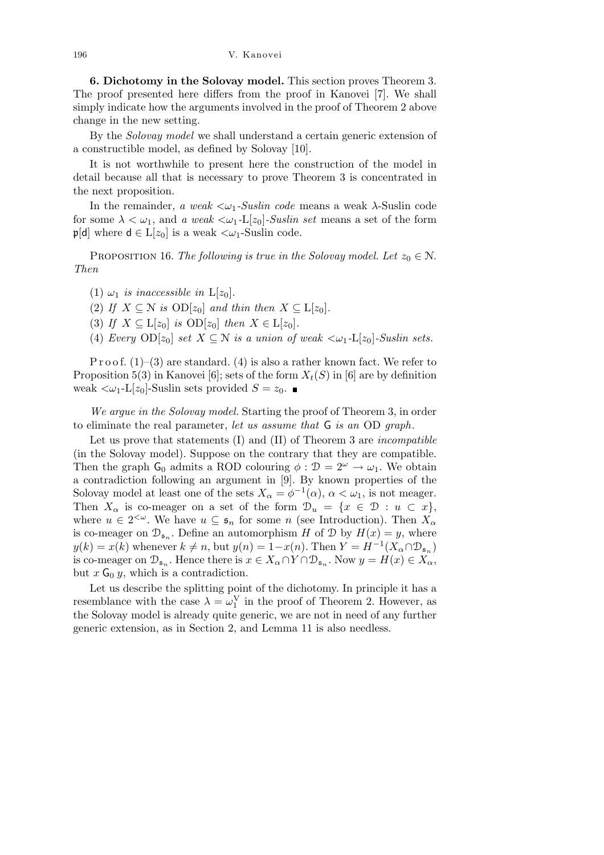**6. Dichotomy in the Solovay model.** This section proves Theorem 3. The proof presented here differs from the proof in Kanovei [7]. We shall simply indicate how the arguments involved in the proof of Theorem 2 above change in the new setting.

By the *Solovay model* we shall understand a certain generic extension of a constructible model, as defined by Solovay [10].

It is not worthwhile to present here the construction of the model in detail because all that is necessary to prove Theorem 3 is concentrated in the next proposition.

In the remainder, *a weak*  $\langle \omega_1$ -*Suslin code* means a weak  $\lambda$ -Suslin code for some  $\lambda < \omega_1$ , and *a weak*  $\langle \omega_1 - L[z_0]$ *-Suslin set* means a set of the form  $\mathfrak{p}[d]$  where  $d \in L[z_0]$  is a weak  $\langle \omega_1$ -Suslin code.

PROPOSITION 16. *The following is true in the Solovay model. Let*  $z_0 \in \mathcal{N}$ . *Then*

- (1)  $\omega_1$  *is inaccessible in*  $L[z_0]$ *.*
- (2) If  $X \subseteq \mathbb{N}$  *is*  $OD[z_0]$  *and thin then*  $X \subseteq L[z_0]$ *.*
- (3) *If*  $X \subseteq L[z_0]$  *is*  $OD[z_0]$  *then*  $X \in L[z_0]$ *.*
- (4) *Every* OD[ $z_0$ ] *set*  $X \subseteq \mathbb{N}$  *is a union of weak*  $\langle \omega_1$ -L[ $z_0$ ]-Suslin sets.

P r o o f.  $(1)$ – $(3)$  are standard.  $(4)$  is also a rather known fact. We refer to Proposition 5(3) in Kanovei [6]; sets of the form  $X_t(S)$  in [6] are by definition weak  $\langle \omega_1$ -L[ $z_0$ ]-Suslin sets provided  $S = z_0$ .

*We argue in the Solovay model.* Starting the proof of Theorem 3, in order to eliminate the real parameter, *let us assume that* G *is an* OD *graph*.

Let us prove that statements (I) and (II) of Theorem 3 are *incompatible* (in the Solovay model). Suppose on the contrary that they are compatible. Then the graph  $G_0$  admits a ROD colouring  $\phi : \mathcal{D} = 2^{\omega} \to \omega_1$ . We obtain a contradiction following an argument in [9]. By known properties of the Solovay model at least one of the sets  $X_{\alpha} = \phi^{-1}(\alpha)$ ,  $\alpha < \omega_1$ , is not meager. Then  $X_\alpha$  is co-meager on a set of the form  $\mathcal{D}_u = \{x \in \mathcal{D} : u \subset x\}$ , where  $u \in 2^{<\omega}$ . We have  $u \subseteq \mathfrak{s}_n$  for some *n* (see Introduction). Then  $X_\alpha$ is co-meager on  $\mathcal{D}_{\mathfrak{s}_n}$ . Define an automorphism *H* of  $\mathcal D$  by  $H(x) = y$ , where  $y(k) = x(k)$  whenever  $k \neq n$ , but  $y(n) = 1 - x(n)$ . Then  $Y = H^{-1}(X_{\alpha} \cap \mathcal{D}_{\mathfrak{s}_n})$ is co-meager on  $\mathcal{D}_{\mathfrak{s}_n}$ . Hence there is  $x \in X_\alpha \cap Y \cap \mathcal{D}_{\mathfrak{s}_n}$ . Now  $y = H(x) \in X_\alpha$ , but  $x \mathsf{G}_0 y$ , which is a contradiction.

Let us describe the splitting point of the dichotomy. In principle it has a resemblance with the case  $\lambda = \omega_1^{\rm V}$  in the proof of Theorem 2. However, as the Solovay model is already quite generic, we are not in need of any further generic extension, as in Section 2, and Lemma 11 is also needless.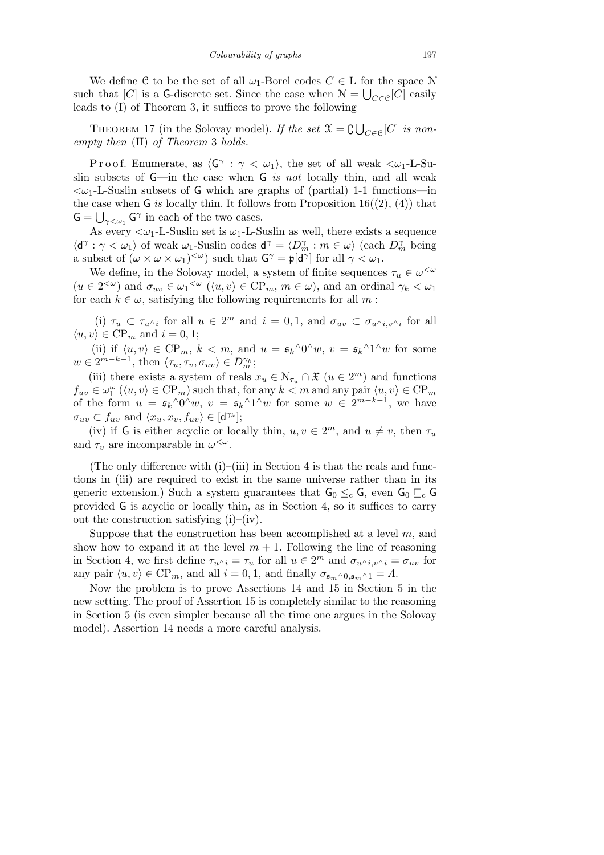We define C to be the set of all  $\omega_1$ -Borel codes  $C \in L$  for the space N such that  $[C]$  is a G-discrete set. Since the case when  $\mathcal{N} = \bigcup_{C \in \mathcal{C}} [C]$  easily leads to (I) of Theorem 3, it suffices to prove the following

THEOREM 17 (in the Solovay model). If the set  $\mathfrak{X} = \mathbb{C}$ S  $C \in \mathcal{C}$ <sup>[*C*]</sup> *is nonempty then* (II) *of Theorem* 3 *holds.*

Proof. Enumerate, as  $\langle G^{\gamma} : \gamma < \omega_1 \rangle$ , the set of all weak  $\langle \omega_1 - L - Su - \omega_1 \rangle$ slin subsets of G—in the case when G *is not* locally thin, and all weak  $\langle \omega_1$ -L-Suslin subsets of G which are graphs of (partial) 1-1 functions—in the case when  $G$  *is* locally thin. It follows from Proposition 16((2), (4)) that  $\mathsf{G} = \bigcup_{\gamma < \omega_1} \mathsf{G}^\gamma$  in each of the two cases.

As every  $\langle \omega_1$ -L-Suslin set is  $\omega_1$ -L-Suslin as well, there exists a sequence  $\langle d^{\gamma} : \gamma < \omega_1 \rangle$  of weak  $\omega_1$ -Suslin codes  $d^{\gamma} = \langle D_m^{\gamma} : m \in \omega \rangle$  (each  $D_m^{\gamma}$  being a subset of  $(\omega \times \omega \times \omega_1)^{<\omega}$  such that  $G^{\gamma} = \mathfrak{p}[d^{\gamma}]$  for all  $\gamma < \omega_1$ .

We define, in the Solovay model, a system of finite sequences  $\tau_u \in \omega^{\lt \omega}$  $(u \in 2^{<\omega})$  and  $\sigma_{uv} \in \omega_1^{<\omega}$  ( $\langle u, v \rangle \in \text{CP}_m$ ,  $m \in \omega$ ), and an ordinal  $\gamma_k < \omega_1$ for each  $k \in \omega$ , satisfying the following requirements for all  $m$ :

(i)  $\tau_u \subset \tau_{u \uparrow i}$  for all  $u \in 2^m$  and  $i = 0, 1$ , and  $\sigma_{uv} \subset \sigma_{u \uparrow i, v \uparrow i}$  for all  $\langle u, v \rangle \in \text{CP}_m$  and  $i = 0, 1$ ;

(ii) if  $\langle u, v \rangle \in \text{CP}_m$ ,  $k < m$ , and  $u = \mathfrak{s}_k \wedge 0 \wedge w$ ,  $v = \mathfrak{s}_k \wedge 1 \wedge w$  for some  $w \in 2^{m-k-1}$ , then  $\langle \tau_u, \tau_v, \sigma_{uv} \rangle \in D_m^{\gamma_k}$ ;

(iii) there exists a system of reals  $x_u \in \mathcal{N}_{\tau_u} \cap \mathfrak{X}$  ( $u \in 2^m$ ) and functions  $f_{uv} \in \omega_1^{\omega}$  ( $\langle u, v \rangle \in \text{CP}_m$ ) such that, for any  $k < m$  and any pair  $\langle u, v \rangle \in \text{CP}_m$ of the form  $u = \mathfrak{s}_k \wedge 0 \wedge w, v = \mathfrak{s}_k \wedge 1 \wedge w$  for some  $w \in 2^{m-k-1}$ , we have  $\sigma_{uv} \subset f_{uv}$  and  $\langle x_u, x_v, f_{uv} \rangle \in [d^{\gamma_k}];$ 

(iv) if G is either acyclic or locally thin,  $u, v \in 2^m$ , and  $u \neq v$ , then  $\tau_u$ and  $\tau_v$  are incomparable in  $\omega^{\langle \omega \rangle}$ .

(The only difference with  $(i)$ – $(iii)$  in Section 4 is that the reals and functions in (iii) are required to exist in the same universe rather than in its generic extension.) Such a system guarantees that  $G_0 \leq_c G$ , even  $G_0 \sqsubseteq_c G$ provided G is acyclic or locally thin, as in Section 4, so it suffices to carry out the construction satisfying (i)–(iv).

Suppose that the construction has been accomplished at a level *m,* and show how to expand it at the level  $m + 1$ . Following the line of reasoning in Section 4, we first define  $\tau_{u} \wedge_i = \tau_u$  for all  $u \in 2^m$  and  $\sigma_{u} \wedge_{i,v} \wedge_i = \sigma_{uv}$  for any pair  $\langle u, v \rangle \in \text{CP}_m$ , and all  $i = 0, 1$ , and finally  $\sigma_{\mathfrak{s}_m} \gamma_{0, \mathfrak{s}_m} \gamma_1 = \Lambda$ .

Now the problem is to prove Assertions 14 and 15 in Section 5 in the new setting. The proof of Assertion 15 is completely similar to the reasoning in Section 5 (is even simpler because all the time one argues in the Solovay model). Assertion 14 needs a more careful analysis.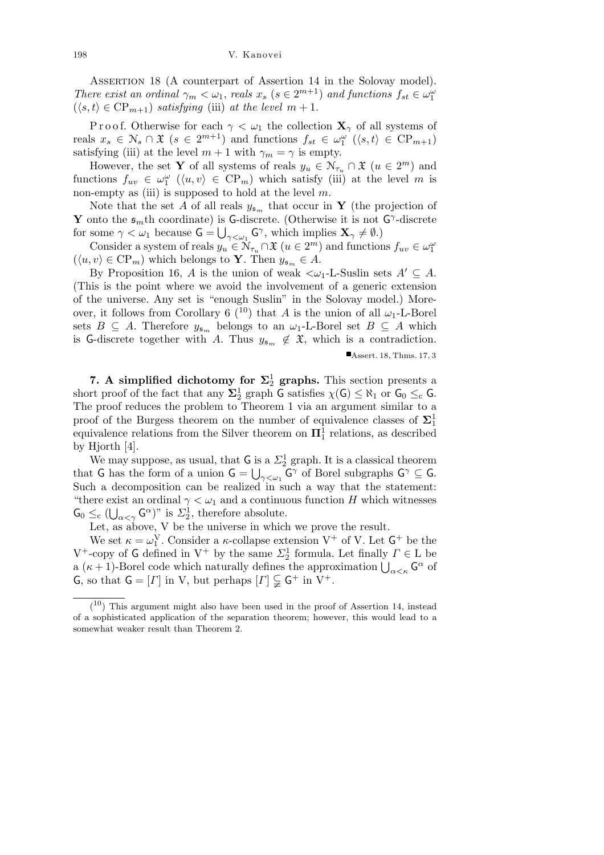Assertion 18 (A counterpart of Assertion 14 in the Solovay model). *There exist an ordinal*  $\gamma_m < \omega_1$ , *reals*  $x_s$  ( $s \in 2^{m+1}$ ) *and functions*  $f_{st} \in \omega_1^{\omega}$  $(\langle s,t \rangle \in \text{CP}_{m+1})$  *satisfying* (iii) *at the level*  $m+1$ .

Proof. Otherwise for each  $\gamma < \omega_1$  the collection  $\mathbf{X}_{\gamma}$  of all systems of reals  $x_s \in \mathcal{N}_s \cap \mathfrak{X}$  ( $s \in 2^{m+1}$ ) and functions  $f_{st} \in \omega_1^{\omega}$  ( $\langle s, t \rangle \in \text{CP}_{m+1}$ ) satisfying (iii) at the level  $m + 1$  with  $\gamma_m = \gamma$  is empty.

However, the set **Y** of all systems of reals  $y_u \in \mathcal{N}_{\tau_u} \cap \mathfrak{X}$   $(u \in 2^m)$  and functions  $f_{uv} \in \omega_1^{\omega}$  ( $\langle u, v \rangle \in \text{CP}_m$ ) which satisfy (iii) at the level *m* is non-empty as (iii) is supposed to hold at the level *m*.

Note that the set *A* of all reals  $y_{\mathfrak{s}_m}$  that occur in **Y** (the projection of **Y** onto the  $\mathfrak{s}_{m}$ th coordinate) is G-discrete. (Otherwise it is not  $G^{\gamma}$ -discrete for some  $\gamma < \omega_1$  because  $G = \bigcup_{\gamma < \omega_1} G^{\gamma}$ , which implies  $\mathbf{X}_{\gamma} \neq \emptyset$ .)

Consider a system of reals  $y_u \in N_{\tau_u} \cap \mathfrak{X}$   $(u \in 2^m)$  and functions  $f_{uv} \in \omega_1^{\omega}$  $(\langle u, v \rangle \in \text{CP}_m)$  which belongs to **Y**. Then  $y_{\mathfrak{s}_m} \in A$ .

By Proposition 16, *A* is the union of weak  $\langle \omega_1$ -L-Suslin sets  $A' \subseteq A$ . (This is the point where we avoid the involvement of a generic extension of the universe. Any set is "enough Suslin" in the Solovay model.) Moreover, it follows from Corollary 6 (<sup>10</sup>) that *A* is the union of all  $\omega_1$ -L-Borel sets  $B \subseteq A$ . Therefore  $y_{\mathfrak{s}_m}$  belongs to an  $\omega_1$ -L-Borel set  $B \subseteq A$  which is G-discrete together with *A*. Thus  $y_{\mathfrak{s}_m} \notin \mathfrak{X}$ , which is a contradiction. Assert*.* 18*,* Thms*.* 17*,* 3

**7.** A simplified dichotomy for  $\Sigma^1$  graphs. This section presents a short proof of the fact that any  $\Sigma_2^1$  graph G satisfies  $\chi(\mathsf{G}) \leq \aleph_1$  or  $\mathsf{G}_0 \leq_c \mathsf{G}$ . The proof reduces the problem to Theorem 1 via an argument similar to a proof of the Burgess theorem on the number of equivalence classes of  $\Sigma_1^1$ equivalence relations from the Silver theorem on  $\mathbf{\Pi}^1_1$  relations, as described by Hjorth [4].

We may suppose, as usual, that  $\mathsf{G}$  is a  $\mathsf{\Sigma}^1_2$  graph. It is a classical theorem that G has the form of a union  $G = \bigcup_{\gamma < \omega_1} G^\gamma$  of Borel subgraphs  $G^\gamma \subseteq G$ . Such a decomposition can be realized in such a way that the statement: "there exist an ordinal  $\gamma < \omega_1$  and a continuous function *H* which witnesses  $\mathsf{G}_0 \leq_{\mathrm{c}} (\bigcup_{\alpha < \gamma} \mathsf{G}^{\alpha})^{\gamma}$  is  $\Sigma_2^1$ , therefore absolute.

Let, as above, V be the universe in which we prove the result.

We set  $\kappa = \omega_1^V$ . Consider a  $\kappa$ -collapse extension  $V^+$  of V. Let  $G^+$  be the V<sup>+</sup>-copy of G defined in V<sup>+</sup> by the same  $\Sigma_2^1$  formula. Let finally  $\Gamma \in L$  be  $\alpha$  -copy of G defined in  $\alpha$  by the same  $\omega_2$  formula. Let finally  $I \in L$  be a  $(\kappa + 1)$ -Borel code which naturally defines the approximation  $\bigcup_{\alpha < \kappa} G^{\alpha}$  of  $\mathsf{G}$ , so that  $\mathsf{G} = [F]$  in V, but perhaps  $[F] \subsetneq \mathsf{G}^+$  in V<sup>+</sup>.

 $(10)$  This argument might also have been used in the proof of Assertion 14, instead of a sophisticated application of the separation theorem; however, this would lead to a somewhat weaker result than Theorem 2.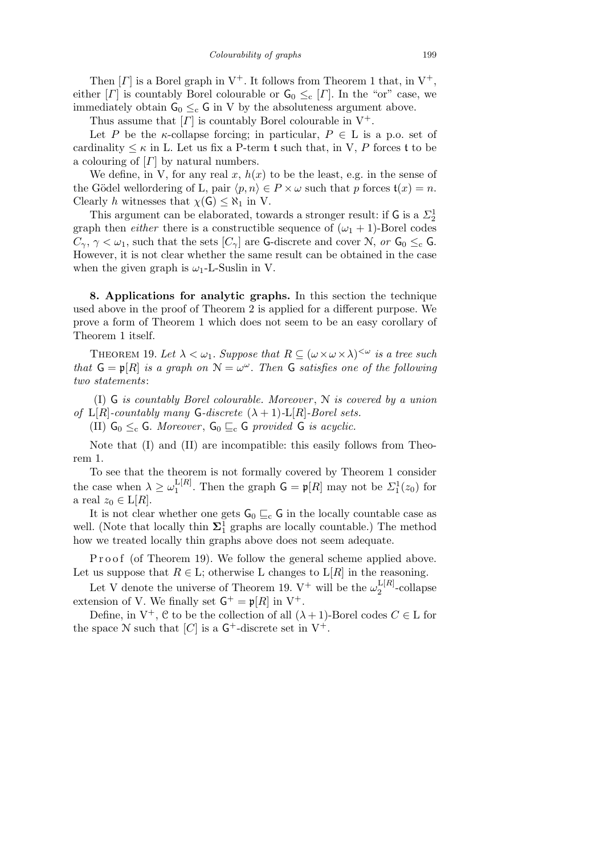Then  $[F]$  is a Borel graph in  $V^+$ . It follows from Theorem 1 that, in  $V^+$ , either [*Γ*] is countably Borel colourable or  $G_0 \leq_c [r]$ . In the "or" case, we immediately obtain  $G_0 \leq_c G$  in V by the absoluteness argument above.

Thus assume that [*Γ*] is countably Borel colourable in V<sup>+</sup>*.*

Let *P* be the *κ*-collapse forcing; in particular,  $P \in L$  is a p.o. set of cardinality  $\leq \kappa$  in L. Let us fix a P-term t such that, in V, P forces t to be a colouring of [*Γ*] by natural numbers.

We define, in V, for any real  $x, h(x)$  to be the least, e.g. in the sense of the Gödel wellordering of L, pair  $\langle p, n \rangle \in P \times \omega$  such that p forces  $t(x) = n$ . Clearly *h* witnesses that  $\chi(G) \leq \aleph_1$  in V.

This argument can be elaborated, towards a stronger result: if  $G$  is a  $\mathcal{L}_2^1$ graph then *either* there is a constructible sequence of  $(\omega_1 + 1)$ -Borel codes  $C_{\gamma}$ ,  $\gamma < \omega_1$ , such that the sets  $[C_{\gamma}]$  are G-discrete and cover N, or  $G_0 \leq_c G$ . However, it is not clear whether the same result can be obtained in the case when the given graph is  $\omega_1$ -L-Suslin in V.

**8. Applications for analytic graphs.** In this section the technique used above in the proof of Theorem 2 is applied for a different purpose. We prove a form of Theorem 1 which does not seem to be an easy corollary of Theorem 1 itself.

THEOREM 19. Let  $\lambda < \omega_1$ . Suppose that  $R \subseteq (\omega \times \omega \times \lambda)^{<\omega}$  is a tree such *that*  $G = p[R]$  *is a graph on*  $N = \omega^{\omega}$ . *Then* G *satisfies one of the following two statements*:

(I) G *is countably Borel colourable. Moreover* , N *is covered by a union of*  $L[R]$ -countably many **G**-discrete  $(\lambda + 1)$ -L[R]-Borel sets.

(II)  $G_0 \leq_c G$ *. Moreover*,  $G_0 \subseteq_c G$  *provided* G *is acyclic.* 

Note that (I) and (II) are incompatible: this easily follows from Theorem 1.

To see that the theorem is not formally covered by Theorem 1 consider the case when  $\lambda \geq \omega_1^{\text{L}[R]}$  $L[R]$ . Then the graph  $G = \mathfrak{p}[R]$  may not be  $\mathcal{L}_1^1(z_0)$  for a real  $z_0 \in L[R]$ .

It is not clear whether one gets  $\mathsf{G_0} \sqsubseteq_{\mathrm{c}} \mathsf{G}$  in the locally countable case as well. (Note that locally thin  $\Sigma_1^1$  graphs are locally countable.) The method how we treated locally thin graphs above does not seem adequate.

Proof (of Theorem 19). We follow the general scheme applied above. Let us suppose that  $R \in L$ ; otherwise L changes to  $L[R]$  in the reasoning.

Let V denote the universe of Theorem 19. V<sup>+</sup> will be the  $\omega_2^{\text{L[R]}}$  $_2^{\rm L[<]}$ -collapse extension of V. We finally set  $G^+ = \mathfrak{p}[R]$  in  $V^+$ .

Define, in  $V^+$ ,  $\mathcal C$  to be the collection of all  $(\lambda + 1)$ -Borel codes  $C \in L$  for the space N such that  $|C|$  is a  $G^+$ -discrete set in  $V^+$ .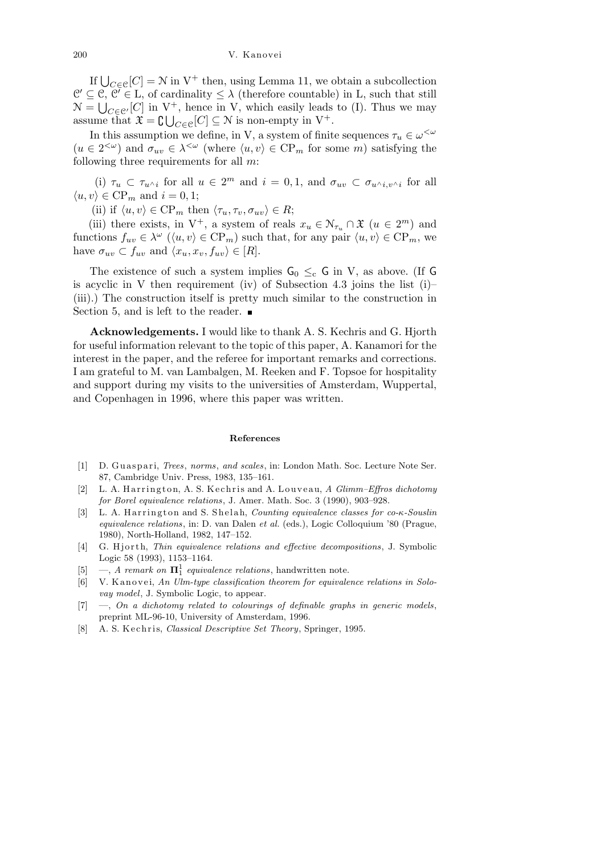If  $\bigcup_{C \in \mathcal{C}} [C] = \mathcal{N}$  in V<sup>+</sup> then, using Lemma 11, we obtain a subcollection  $\mathcal{C}' \subseteq \mathcal{C}, \mathcal{C}' \in L$ , of cardinality  $\leq \lambda$  (therefore countable) in L, such that still  $\mathcal{N} =$  $\bigcup_{C \in \mathcal{C}'}[C]$  in V<sup>+</sup>, hence in V, which easily leads to (I). Thus we may  $\bigcup_{C \in \mathcal{C}'}[C]$  in V<sup>+</sup>, hence in V, which easily leads to (I). Thus we may assume that  $\mathfrak{X} = \mathbb{C} \bigcup_{C \in \mathcal{C}} [C] \subseteq \mathcal{N}$  is non-empty in V<sup>+</sup>.

In this assumption we define, in V, a system of finite sequences  $\tau_u \in \omega^{\lt \omega}$  $(u \in 2^{<\omega})$  and  $\sigma_{uv} \in \lambda^{\leq\omega}$  (where  $\langle u, v \rangle \in \text{CP}_m$  for some *m*) satisfying the following three requirements for all *m*:

(i)  $\tau_u \subset \tau_{u \wedge i}$  for all  $u \in 2^m$  and  $i = 0, 1$ , and  $\sigma_{uv} \subset \sigma_{u \wedge i, v \wedge i}$  for all  $\langle u, v \rangle \in \text{CP}_m$  and  $i = 0, 1$ ;

(ii) if  $\langle u, v \rangle \in \text{CP}_m$  then  $\langle \tau_u, \tau_v, \sigma_{uv} \rangle \in R$ ;

(iii) there exists, in  $V^+$ , a system of reals  $x_u \in \mathcal{N}_{\tau_u} \cap \mathfrak{X}$   $(u \in 2^m)$  and functions  $f_{uv} \in \lambda^{\omega}$  ( $\langle u, v \rangle \in \text{CP}_m$ ) such that, for any pair  $\langle u, v \rangle \in \text{CP}_m$ , we have  $\sigma_{uv} \subset f_{uv}$  and  $\langle x_u, x_v, f_{uv} \rangle \in [R]$ .

The existence of such a system implies  $G_0 \leq_c G$  in V, as above. (If G is acyclic in V then requirement (iv) of Subsection 4.3 joins the list  $(i)$ – (iii).) The construction itself is pretty much similar to the construction in Section 5, and is left to the reader.  $\blacksquare$ 

**Acknowledgements.** I would like to thank A. S. Kechris and G. Hjorth for useful information relevant to the topic of this paper, A. Kanamori for the interest in the paper, and the referee for important remarks and corrections. I am grateful to M. van Lambalgen, M. Reeken and F. Topsoe for hospitality and support during my visits to the universities of Amsterdam, Wuppertal, and Copenhagen in 1996, where this paper was written.

## **References**

- [1] D. Guaspari, *Trees*, *norms*, *and scales*, in: London Math. Soc. Lecture Note Ser. 87, Cambridge Univ. Press, 1983, 135–161.
- [2] L. A. Harrington, A. S. Kechris and A. Louveau, A Glimm-Effros dichotomy *for Borel equivalence relations*, J. Amer. Math. Soc. 3 (1990), 903–928.
- [3] L. A. Harrington and S. Shelah, *Counting equivalence classes for co-κ-Souslin equivalence relations*, in: D. van Dalen *et al.* (eds.), Logic Colloquium '80 (Prague, 1980), North-Holland, 1982, 147–152.
- [4] G. H jorth, *Thin equivalence relations and effective decompositions*, J. Symbolic Logic 58 (1993), 1153–1164.
- [5]  $\rightarrow$ , *A remark on*  $\mathbf{\Pi}^1_1$  *equivalence relations*, handwritten note.
- [6] V. Kanovei, An Ulm-type classification theorem for equivalence relations in Solo*vay model*, J. Symbolic Logic, to appear.
- [7] —, *On a dichotomy related to colourings of definable graphs in generic models*, preprint ML-96-10, University of Amsterdam, 1996.
- [8] A. S. Kechris, *Classical Descriptive Set Theory*, Springer, 1995.